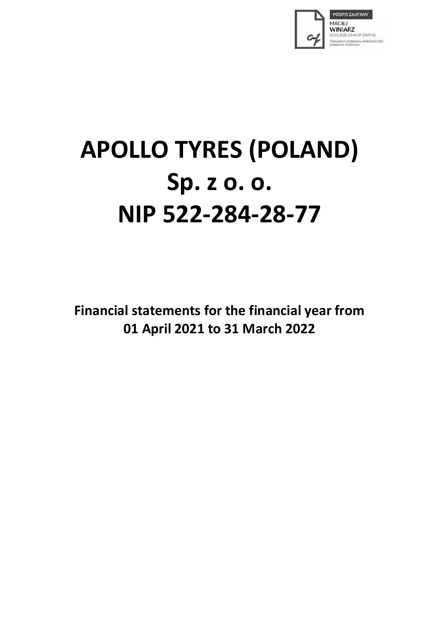

# **APOLLO TYRES (POLAND) Sp. z o. o. NIP 522-284-28-77**

**Financial statements for the financial year from 01 April 2021 to 31 March 2022**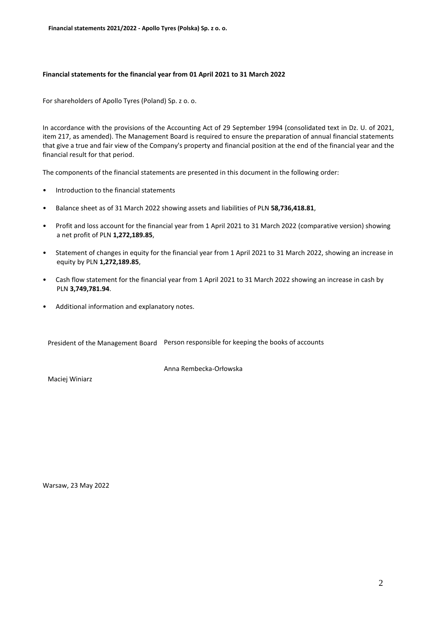# **Financial statements for the financial year from 01 April 2021 to 31 March 2022**

For shareholders of Apollo Tyres (Poland) Sp. z o. o.

In accordance with the provisions of the Accounting Act of 29 September 1994 (consolidated text in Dz. U. of 2021, item 217, as amended). The Management Board is required to ensure the preparation of annual financial statements that give a true and fair view of the Company's property and financial position at the end of the financial year and the financial result for that period.

The components of the financial statements are presented in this document in the following order:

- Introduction to the financial statements
- Balance sheet as of 31 March 2022 showing assets and liabilities of PLN **58,736,418.81**,
- Profit and loss account for the financial year from 1 April 2021 to 31 March 2022 (comparative version) showing a net profit of PLN **1,272,189.85**,
- Statement of changes in equity for the financial year from 1 April 2021 to 31 March 2022, showing an increase in equity by PLN **1,272,189.85**,
- Cash flow statement for the financial year from 1 April 2021 to 31 March 2022 showing an increase in cash by PLN **3,749,781.94**.
- Additional information and explanatory notes.

President of the Management Board Person responsible for keeping the books of accounts

Anna Rembecka-Orłowska

Maciej Winiarz

Warsaw, 23 May 2022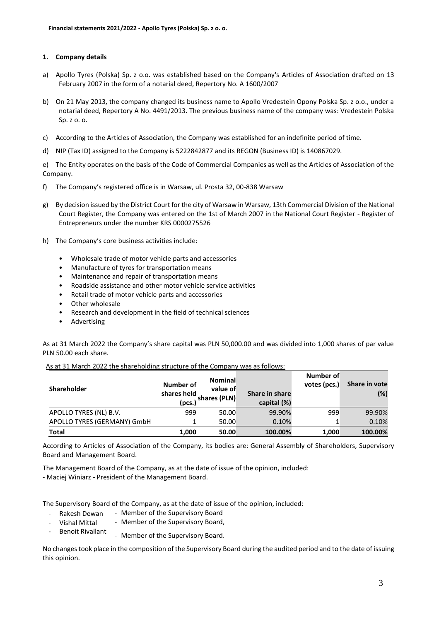# **1. Company details**

- a) Apollo Tyres (Polska) Sp. z o.o. was established based on the Company's Articles of Association drafted on 13 February 2007 in the form of a notarial deed, Repertory No. A 1600/2007
- b) On 21 May 2013, the company changed its business name to Apollo Vredestein Opony Polska Sp. z o.o., under a notarial deed, Repertory A No. 4491/2013. The previous business name of the company was: Vredestein Polska Sp. z o. o.
- c) According to the Articles of Association, the Company was established for an indefinite period of time.
- d) NIP (Tax ID) assigned to the Company is 5222842877 and its REGON (Business ID) is 140867029.

e) The Entity operates on the basis of the Code of Commercial Companies as well as the Articles of Association of the Company.

- f) The Company's registered office is in Warsaw, ul. Prosta 32, 00-838 Warsaw
- g) By decision issued by the District Court for the city of Warsaw in Warsaw, 13th Commercial Division of the National Court Register, the Company was entered on the 1st of March 2007 in the National Court Register - Register of Entrepreneurs under the number KRS 0000275526
- h) The Company's core business activities include:
	- Wholesale trade of motor vehicle parts and accessories
	- Manufacture of tyres for transportation means
	- Maintenance and repair of transportation means
	- Roadside assistance and other motor vehicle service activities
	- Retail trade of motor vehicle parts and accessories
	- Other wholesale
	- Research and development in the field of technical sciences
	- **Advertising**

As at 31 March 2022 the Company's share capital was PLN 50,000.00 and was divided into 1,000 shares of par value PLN 50.00 each share.

## As at 31 March 2022 the shareholding structure of the Company was as follows:

| <b>Shareholder</b>          | Number of<br>shares held<br>(pcs. | <b>Nominal</b><br>value of<br>shares (PLN) | Share in share<br>capital (%) | Number of<br>votes (pcs.) | Share in vote<br>(%) |
|-----------------------------|-----------------------------------|--------------------------------------------|-------------------------------|---------------------------|----------------------|
| APOLLO TYRES (NL) B.V.      | 999                               | 50.00                                      | 99.90%                        | 999                       | 99.90%               |
| APOLLO TYRES (GERMANY) GmbH |                                   | 50.00                                      | 0.10%                         |                           | 0.10%                |
| <b>Total</b>                | 1,000                             | 50.00                                      | 100.00%                       | 1,000                     | 100.00%              |

According to Articles of Association of the Company, its bodies are: General Assembly of Shareholders, Supervisory Board and Management Board.

The Management Board of the Company, as at the date of issue of the opinion, included: - Maciej Winiarz - President of the Management Board.

The Supervisory Board of the Company, as at the date of issue of the opinion, included:

- Member of the Supervisory Board Rakesh Dewan
- Member of the Supervisory Board, - Vishal Mittal
- Member of the Supervisory Board. Benoit Rivallant

No changes took place in the composition of the Supervisory Board during the audited period and to the date of issuing this opinion.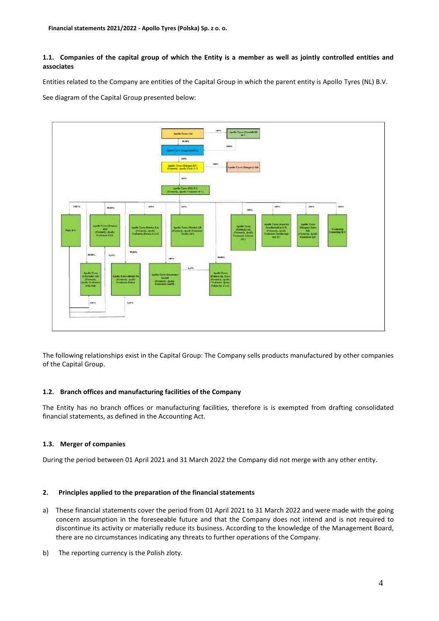# **1.1. Companies of the capital group of which the Entity is a member as well as jointly controlled entities and associates**

Entities related to the Company are entities of the Capital Group in which the parent entity is Apollo Tyres (NL) B.V.

See diagram of the Capital Group presented below:



The following relationships exist in the Capital Group: The Company sells products manufactured by other companies of the Capital Group.

# **1.2. Branch offices and manufacturing facilities of the Company**

The Entity has no branch offices or manufacturing facilities, therefore is is exempted from drafting consolidated financial statements, as defined in the Accounting Act.

# **1.3. Merger of companies**

During the period between 01 April 2021 and 31 March 2022 the Company did not merge with any other entity.

# **2. Principles applied to the preparation of the financial statements**

- a) These financial statements cover the period from 01 April 2021 to 31 March 2022 and were made with the going concern assumption in the foreseeable future and that the Company does not intend and is not required to discontinue its activity or materially reduce its business. According to the knowledge of the Management Board, there are no circumstances indicating any threats to further operations of the Company.
- b) The reporting currency is the Polish zloty.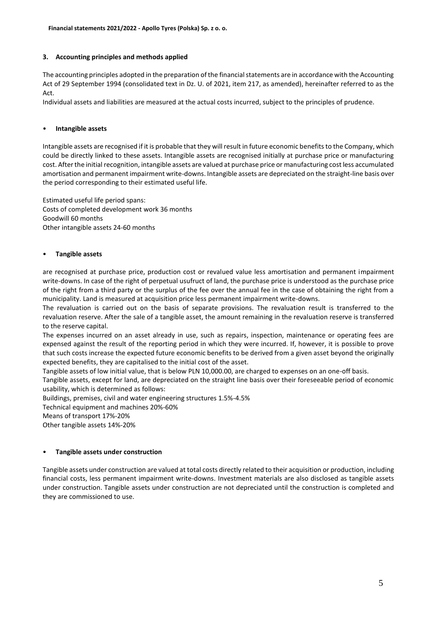# **3. Accounting principles and methods applied**

The accounting principles adopted in the preparation of the financial statements are in accordance with the Accounting Act of 29 September 1994 (consolidated text in Dz. U. of 2021, item 217, as amended), hereinafter referred to as the Act.

Individual assets and liabilities are measured at the actual costs incurred, subject to the principles of prudence.

# • **Intangible assets**

Intangible assets are recognised if it is probable that they will result in future economic benefits to the Company, which could be directly linked to these assets. Intangible assets are recognised initially at purchase price or manufacturing cost. After the initial recognition, intangible assets are valued at purchase price or manufacturing cost less accumulated amortisation and permanent impairment write-downs. Intangible assets are depreciated on the straight-line basis over the period corresponding to their estimated useful life.

Estimated useful life period spans: Costs of completed development work 36 months Goodwill 60 months Other intangible assets 24-60 months

# • **Tangible assets**

are recognised at purchase price, production cost or revalued value less amortisation and permanent impairment write-downs. In case of the right of perpetual usufruct of land, the purchase price is understood as the purchase price of the right from a third party or the surplus of the fee over the annual fee in the case of obtaining the right from a municipality. Land is measured at acquisition price less permanent impairment write-downs.

The revaluation is carried out on the basis of separate provisions. The revaluation result is transferred to the revaluation reserve. After the sale of a tangible asset, the amount remaining in the revaluation reserve is transferred to the reserve capital.

The expenses incurred on an asset already in use, such as repairs, inspection, maintenance or operating fees are expensed against the result of the reporting period in which they were incurred. If, however, it is possible to prove that such costs increase the expected future economic benefits to be derived from a given asset beyond the originally expected benefits, they are capitalised to the initial cost of the asset.

Tangible assets of low initial value, that is below PLN 10,000.00, are charged to expenses on an one-off basis.

Tangible assets, except for land, are depreciated on the straight line basis over their foreseeable period of economic usability, which is determined as follows:

Buildings, premises, civil and water engineering structures 1.5%-4.5%

Technical equipment and machines 20%-60%

Means of transport 17%-20%

Other tangible assets 14%-20%

# • **Tangible assets under construction**

Tangible assets under construction are valued at total costs directly related to their acquisition or production, including financial costs, less permanent impairment write-downs. Investment materials are also disclosed as tangible assets under construction. Tangible assets under construction are not depreciated until the construction is completed and they are commissioned to use.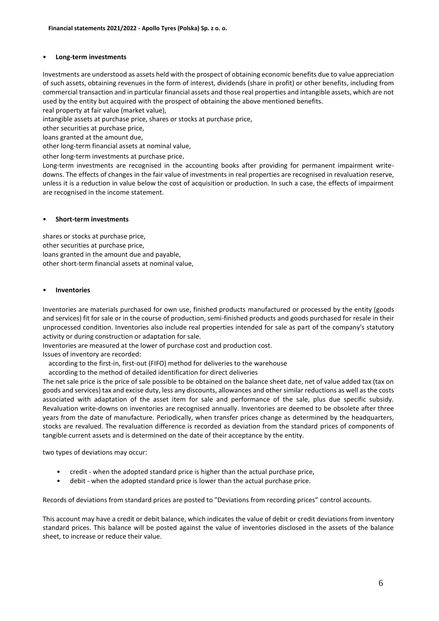# • **Long-term investments**

Investments are understood as assets held with the prospect of obtaining economic benefits due to value appreciation of such assets, obtaining revenues in the form of interest, dividends (share in profit) or other benefits, including from commercial transaction and in particular financial assets and those real properties and intangible assets, which are not used by the entity but acquired with the prospect of obtaining the above mentioned benefits.

real property at fair value (market value),

intangible assets at purchase price, shares or stocks at purchase price,

other securities at purchase price,

loans granted at the amount due,

other long-term financial assets at nominal value,

other long-term investments at purchase price.

Long-term investments are recognised in the accounting books after providing for permanent impairment writedowns. The effects of changes in the fair value of investments in real properties are recognised in revaluation reserve, unless it is a reduction in value below the cost of acquisition or production. In such a case, the effects of impairment are recognised in the income statement.

## • **Short-term investments**

shares or stocks at purchase price, other securities at purchase price, loans granted in the amount due and payable, other short-term financial assets at nominal value,

# • **Inventories**

Inventories are materials purchased for own use, finished products manufactured or processed by the entity (goods and services) fit for sale or in the course of production, semi-finished products and goods purchased for resale in their unprocessed condition. Inventories also include real properties intended for sale as part of the company's statutory activity or during construction or adaptation for sale.

Inventories are measured at the lower of purchase cost and production cost.

Issues of inventory are recorded:

according to the first-in, first-out (FIFO) method for deliveries to the warehouse

according to the method of detailed identification for direct deliveries

The net sale price is the price of sale possible to be obtained on the balance sheet date, net of value added tax (tax on goods and services) tax and excise duty, less any discounts, allowances and other similar reductions as well as the costs associated with adaptation of the asset item for sale and performance of the sale, plus due specific subsidy. Revaluation write-downs on inventories are recognised annually. Inventories are deemed to be obsolete after three years from the date of manufacture. Periodically, when transfer prices change as determined by the headquarters, stocks are revalued. The revaluation difference is recorded as deviation from the standard prices of components of tangible current assets and is determined on the date of their acceptance by the entity.

two types of deviations may occur:

- credit when the adopted standard price is higher than the actual purchase price,
- debit when the adopted standard price is lower than the actual purchase price.

Records of deviations from standard prices are posted to "Deviations from recording prices" control accounts.

This account may have a credit or debit balance, which indicates the value of debit or credit deviations from inventory standard prices. This balance will be posted against the value of inventories disclosed in the assets of the balance sheet, to increase or reduce their value.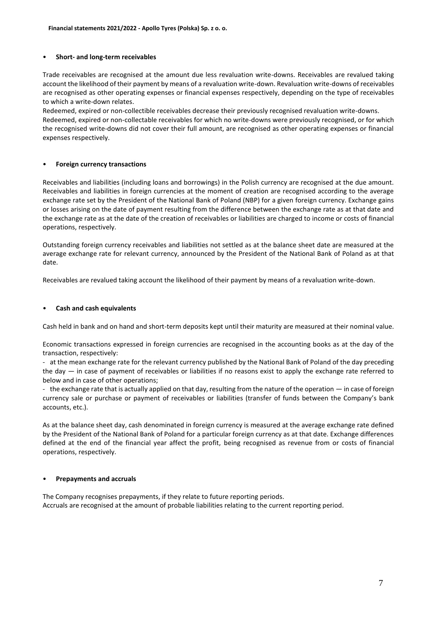# • **Short- and long-term receivables**

Trade receivables are recognised at the amount due less revaluation write-downs. Receivables are revalued taking account the likelihood of their payment by means of a revaluation write-down. Revaluation write-downs of receivables are recognised as other operating expenses or financial expenses respectively, depending on the type of receivables to which a write-down relates.

Redeemed, expired or non-collectible receivables decrease their previously recognised revaluation write-downs. Redeemed, expired or non-collectable receivables for which no write-downs were previously recognised, or for which the recognised write-downs did not cover their full amount, are recognised as other operating expenses or financial expenses respectively.

# • **Foreign currency transactions**

Receivables and liabilities (including loans and borrowings) in the Polish currency are recognised at the due amount. Receivables and liabilities in foreign currencies at the moment of creation are recognised according to the average exchange rate set by the President of the National Bank of Poland (NBP) for a given foreign currency. Exchange gains or losses arising on the date of payment resulting from the difference between the exchange rate as at that date and the exchange rate as at the date of the creation of receivables or liabilities are charged to income or costs of financial operations, respectively.

Outstanding foreign currency receivables and liabilities not settled as at the balance sheet date are measured at the average exchange rate for relevant currency, announced by the President of the National Bank of Poland as at that date.

Receivables are revalued taking account the likelihood of their payment by means of a revaluation write-down.

# • **Cash and cash equivalents**

Cash held in bank and on hand and short-term deposits kept until their maturity are measured at their nominal value.

Economic transactions expressed in foreign currencies are recognised in the accounting books as at the day of the transaction, respectively:

- at the mean exchange rate for the relevant currency published by the National Bank of Poland of the day preceding the day  $-$  in case of payment of receivables or liabilities if no reasons exist to apply the exchange rate referred to below and in case of other operations;

- the exchange rate that is actually applied on that day, resulting from the nature of the operation — in case of foreign currency sale or purchase or payment of receivables or liabilities (transfer of funds between the Company's bank accounts, etc.).

As at the balance sheet day, cash denominated in foreign currency is measured at the average exchange rate defined by the President of the National Bank of Poland for a particular foreign currency as at that date. Exchange differences defined at the end of the financial year affect the profit, being recognised as revenue from or costs of financial operations, respectively.

# • **Prepayments and accruals**

The Company recognises prepayments, if they relate to future reporting periods. Accruals are recognised at the amount of probable liabilities relating to the current reporting period.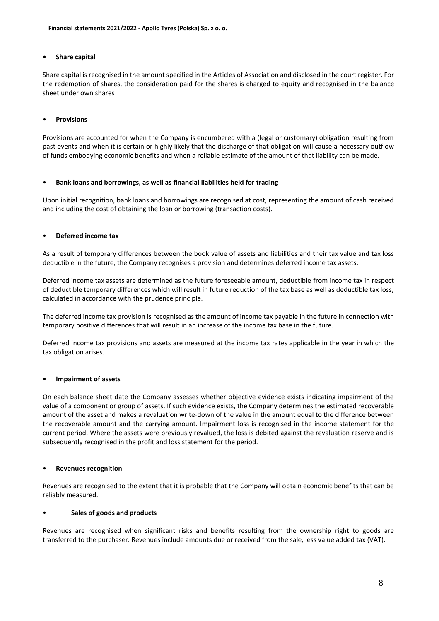# • **Share capital**

Share capital is recognised in the amount specified in the Articles of Association and disclosed in the court register. For the redemption of shares, the consideration paid for the shares is charged to equity and recognised in the balance sheet under own shares

## • **Provisions**

Provisions are accounted for when the Company is encumbered with a (legal or customary) obligation resulting from past events and when it is certain or highly likely that the discharge of that obligation will cause a necessary outflow of funds embodying economic benefits and when a reliable estimate of the amount of that liability can be made.

# • **Bank loans and borrowings, as well as financial liabilities held for trading**

Upon initial recognition, bank loans and borrowings are recognised at cost, representing the amount of cash received and including the cost of obtaining the loan or borrowing (transaction costs).

# • **Deferred income tax**

As a result of temporary differences between the book value of assets and liabilities and their tax value and tax loss deductible in the future, the Company recognises a provision and determines deferred income tax assets.

Deferred income tax assets are determined as the future foreseeable amount, deductible from income tax in respect of deductible temporary differences which will result in future reduction of the tax base as well as deductible tax loss, calculated in accordance with the prudence principle.

The deferred income tax provision is recognised as the amount of income tax payable in the future in connection with temporary positive differences that will result in an increase of the income tax base in the future.

Deferred income tax provisions and assets are measured at the income tax rates applicable in the year in which the tax obligation arises.

# • **Impairment of assets**

On each balance sheet date the Company assesses whether objective evidence exists indicating impairment of the value of a component or group of assets. If such evidence exists, the Company determines the estimated recoverable amount of the asset and makes a revaluation write-down of the value in the amount equal to the difference between the recoverable amount and the carrying amount. Impairment loss is recognised in the income statement for the current period. Where the assets were previously revalued, the loss is debited against the revaluation reserve and is subsequently recognised in the profit and loss statement for the period.

## • **Revenues recognition**

Revenues are recognised to the extent that it is probable that the Company will obtain economic benefits that can be reliably measured.

## • **Sales of goods and products**

Revenues are recognised when significant risks and benefits resulting from the ownership right to goods are transferred to the purchaser. Revenues include amounts due or received from the sale, less value added tax (VAT).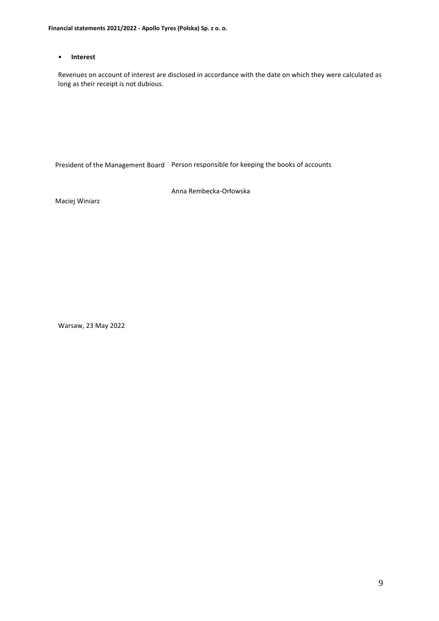# • **Interest**

Revenues on account of interest are disclosed in accordance with the date on which they were calculated as long as their receipt is not dubious.

President of the Management Board Person responsible for keeping the books of accounts

Anna Rembecka-Orłowska

Maciej Winiarz

Warsaw, 23 May 2022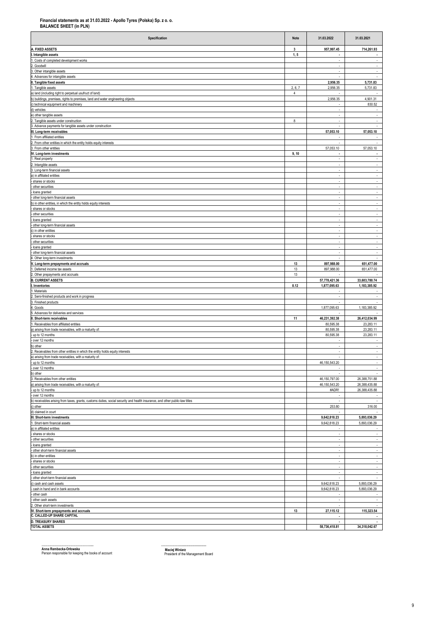# **Financial statements as at 31.03.2022 - Apollo Tyres (Polska) Sp. z o. o. BALANCE SHEET (in PLN)**

| Specification                                                                                                                | <b>Note</b> | 31.03.2022                | 31.03.2021                         |
|------------------------------------------------------------------------------------------------------------------------------|-------------|---------------------------|------------------------------------|
| A. FIXED ASSETS                                                                                                              | 3           | 957,997.45                | 714,261.93                         |
| Intangible assets                                                                                                            | 1, 5        |                           |                                    |
| Costs of completed development works<br>2. Goodwill                                                                          |             | ÷,                        | $\sim$<br>$\sim$                   |
| Other intangible assets                                                                                                      |             |                           |                                    |
| 4. Advances for intangible assets                                                                                            |             |                           | $\overline{\phantom{a}}$           |
| II. Tangible fixed assets<br>1. Tangible assets                                                                              | 2, 6, 7     | 2,956.35<br>2,956.35      | 5,731.83<br>5,731.83               |
| a) land (including right to perpetual usufruct of land)                                                                      | 4           |                           |                                    |
| b) buildings, premises, rights to premises, land and water engineering objects                                               |             | 2,956.35                  | 4,901.31                           |
| c) technical equipment and machinery                                                                                         |             |                           | 830.52                             |
| d) vehicles<br>e) other tangible assets                                                                                      |             | $\Box$                    | $\overline{\phantom{a}}$           |
| 2. Tangible assets under construction                                                                                        | 8           |                           | $\overline{\phantom{a}}$           |
| 3. Advance payments for tangible assets under construction                                                                   |             | ÷,                        | $\omega$                           |
| III. Long-term receivables                                                                                                   |             | 57,053.10                 | 57,053.10                          |
| I. From affiliated entities                                                                                                  |             |                           |                                    |
| 2. From other entities in which the entity holds equity interests<br>3. From other entities                                  |             | 57,053.10                 | 57,053.10                          |
| IV. Long-term investments                                                                                                    | 9, 10       | ٠                         | $\blacksquare$                     |
| 1. Real property                                                                                                             |             | $\mathcal{L}$             | $\sim$                             |
| 2. Intangible assets                                                                                                         |             |                           | $\overline{\phantom{a}}$           |
| 3. Long-term financial assets                                                                                                |             |                           | $\sim$<br>$\overline{\phantom{a}}$ |
| a) in affiliated entities<br>shares or stocks                                                                                |             | ÷,                        | $\omega$                           |
| other securities                                                                                                             |             | ä,                        | $\omega$                           |
| loans granted                                                                                                                |             | $\epsilon$                | $\omega$                           |
| other long-term financial assets                                                                                             |             | ÷,                        | $\omega$                           |
| b) in other entities, in which the entity holds equity interests<br>shares or stocks                                         |             | $\epsilon$                | $\omega$<br>$\sim$                 |
| other securities                                                                                                             |             | $\epsilon$                | $\omega$                           |
| loans granted                                                                                                                |             |                           | $\sim$                             |
| other long-term financial assets                                                                                             |             | $\overline{\phantom{a}}$  | $\omega$                           |
| c) in other entities                                                                                                         |             |                           | $\blacksquare$                     |
| shares or stocks<br>other securities                                                                                         |             | ÷,                        | $\omega$<br>$\omega$               |
| loans granted                                                                                                                |             |                           | $\sim$                             |
| other long-term financial assets                                                                                             |             |                           |                                    |
| 4. Other long-term investments                                                                                               |             |                           |                                    |
| V. Long-term prepayments and accruals<br>. Deferred income tax assets                                                        | 13<br>13    | 897,988.00<br>897,988.00  | 651,477.00<br>651,477.00           |
| Other prepayments and accruals                                                                                               | $13$        |                           |                                    |
| <b>B. CURRENT ASSETS</b>                                                                                                     |             | 57,778,421.36             | 33,603,780.74                      |
| Inventories                                                                                                                  | 8.12        | 1,877,095.63              | 1,183,385.92                       |
| . Materials                                                                                                                  |             |                           |                                    |
| Semi-finished products and work in progress<br>. Finished products                                                           |             |                           |                                    |
| Goods                                                                                                                        |             | 1,877,095.63              | 1,183,385.92                       |
| Advances for deliveries and services                                                                                         |             |                           |                                    |
| II. Short-term receivables                                                                                                   | 11          | 46,231,392.38             | 26,412,034.99                      |
| Receivables from affiliated entities<br>a) arising from trade receivables, with a maturity of:                               |             | 80,595.38<br>80,595.38    | 23,283.11<br>23,283.11             |
| up to 12 months                                                                                                              |             | 80,595.38                 | 23,283.11                          |
| over 12 months                                                                                                               |             |                           |                                    |
| b) other                                                                                                                     |             | $\overline{\phantom{a}}$  | $\sim$                             |
| Receivables from other entities in which the entity holds equity interests                                                   |             |                           | ÷.                                 |
| a) arising from trade receivables, with a maturity of:<br>- up to 12 months                                                  |             | 46, 150, 543. 20          | $\overline{\phantom{a}}$           |
| over 12 months                                                                                                               |             | $\overline{\phantom{a}}$  | $\sim$                             |
| b) other                                                                                                                     |             | $\epsilon$                | $\sim$                             |
| 3. Receivables from other entities                                                                                           |             | 46, 150, 797.00           | 26,388,751.88                      |
| a) arising from trade receivables, with a maturity of:<br>- up to 12 months                                                  |             | 46, 150, 543. 20<br>#ADR! | 26,388,435.88<br>26,388,435.88     |
| - over 12 months                                                                                                             |             | $\overline{\phantom{a}}$  |                                    |
| b) receivables arising from taxes, grants, customs duties, social security and health insurance, and other public-law titles |             |                           |                                    |
| c) other                                                                                                                     |             | 253.80                    | 316.00                             |
| d) claimed in court<br>III. Short-term investments                                                                           |             | 9,642,818.23              | 5,893,036.29                       |
| Short-term financial assets                                                                                                  |             | 9,642,818.23              | 5,893,036.29                       |
| a) in affiliated entities                                                                                                    |             |                           |                                    |
| shares or stocks                                                                                                             |             |                           |                                    |
| other securities                                                                                                             |             | $\sim$                    | $\sim$                             |
| loans granted<br>other short-term financial assets                                                                           |             | ÷,<br>$\Box$              | $\sim$<br>$\omega$                 |
| b) in other entities                                                                                                         |             | ÷,                        | $\blacksquare$                     |
| shares or stocks                                                                                                             |             | ÷                         | $\sim$                             |
| other securities                                                                                                             |             |                           | $\ddot{\phantom{1}}$               |
| - loans granted                                                                                                              |             | ÷,                        | $\mathcal{L}_{\mathcal{C}}$        |
| other short-term financial assets<br>c) cash and cash assets                                                                 |             | 9,642,818.23              | 5,893,036.29                       |
| cash in hand and in bank accounts                                                                                            |             | 9,642,818.23              | 5,893,036.29                       |
| other cash                                                                                                                   |             | $\sim$                    | $\sim$                             |
| other cash assets                                                                                                            |             | L.                        | $\sim$                             |
| 2. Other short-term investments                                                                                              |             | ÷.                        |                                    |
| IV. Short-term prepayments and accruals<br>C. CALLED-UP SHARE CAPITAL                                                        | 13          | 27,115.12<br>٠            | 115,323.54<br>$\blacksquare$       |
| <b>D. TREASURY SHARES</b>                                                                                                    |             |                           |                                    |
| <b>TOTAL ASSETS</b>                                                                                                          |             | 58,736,418.81             | 34,318,042.67                      |

**………………………………………….... ………………................................ Anna Rembecka-Orłowska** Person responsible for keeping the books of account

**Maciej Winiarz** President of the Management Board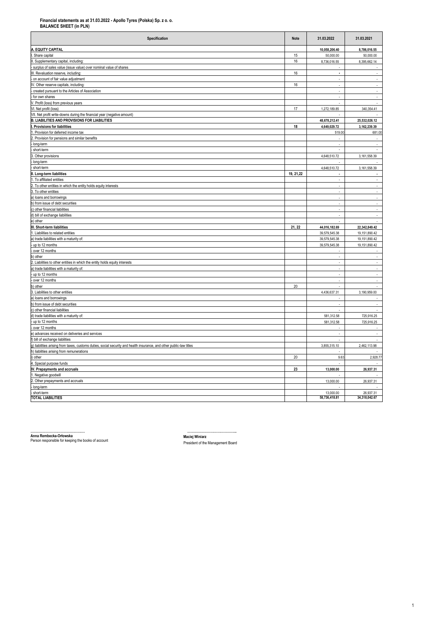# **Financial statements as at 31.03.2022 - Apollo Tyres (Polska) Sp. z o. o.**

| <b>BALANCE SHEET (in PLN)</b> |  |
|-------------------------------|--|
|-------------------------------|--|

| $\cdot$<br>$\cdot$<br>Specification                                                                                  | <b>Note</b> | 31.03.2022           | 31.03.2021               |
|----------------------------------------------------------------------------------------------------------------------|-------------|----------------------|--------------------------|
| A. EQUITY CAPITAL                                                                                                    |             | 10,058,206.40        | 8,786,016.55             |
| Share capital                                                                                                        | 15          | 50,000.00            | 50,000.00                |
| II. Supplementary capital, including:                                                                                | 16          | 8,736,016.55         | 8,395,662.14             |
| surplus of sales value (issue value) over nominal value of shares                                                    |             |                      |                          |
| III. Revaluation reserve, including:                                                                                 | 16          | $\cdot$              | $\Box$                   |
| on account of fair value adjustment                                                                                  |             | $\overline{a}$       | ä,                       |
| IV. Other reserve capitals, including:                                                                               | 16          |                      |                          |
| created pursuant to the Articles of Association                                                                      |             |                      | ÷,                       |
| for own shares                                                                                                       |             |                      | l,                       |
| V. Profit (loss) from previous years                                                                                 |             |                      |                          |
| VI. Net profit (loss)                                                                                                | 17          | 1,272,189.85         | 340,354.41               |
| VII. Net profit write-downs during the financial year (negative amount)                                              |             |                      |                          |
| B. LIABILITIES AND PROVISIONS FOR LIABILITIES                                                                        |             | 48,678,212.41        | 25,532,026.12            |
| Provisions for liabilities                                                                                           | 18          | 4,649,029.72         | 3, 162, 239.39           |
| Provision for deferred income tax                                                                                    |             | 519.00               | 681.00                   |
| Provision for pensions and similar benefits                                                                          |             |                      |                          |
| long-term                                                                                                            |             |                      |                          |
| short-term                                                                                                           |             |                      |                          |
| Other provisions                                                                                                     |             | 4,648,510.72         | 3, 161, 558.39           |
| long-term                                                                                                            |             |                      |                          |
| short-term                                                                                                           |             | 4,648,510.72         | 3,161,558.39             |
| I. Long-term liabilities                                                                                             | 19, 21, 22  | ÷.                   | $\ddot{\phantom{a}}$     |
| To affiliated entities                                                                                               |             | ÷,                   | ÷,                       |
| To other entities in which the entity holds equity interests                                                         |             | t,                   | $\sim$                   |
| To other entities                                                                                                    |             |                      |                          |
| a) loans and borrowings                                                                                              |             |                      |                          |
| b) from issue of debt securities                                                                                     |             | $\mathbb{Z}^2$       | $\sim$                   |
| ) other financial liabilities                                                                                        |             |                      |                          |
| d) bill of exchange liabilities                                                                                      |             |                      | ÷,                       |
| e) other                                                                                                             |             |                      |                          |
| III. Short-term liabilities                                                                                          | 21, 22      | 44,016,182.69        | 22,342,849.42            |
| 1. Liabilities to related entities                                                                                   |             | 39,579,545.38        | 19, 151, 890.42          |
| a) trade liabilities with a maturity of:                                                                             |             |                      |                          |
|                                                                                                                      |             | 39,579,545.38        | 19, 151, 890.42          |
| up to 12 months<br>over 12 months                                                                                    |             | 39,579,545.38        | 19, 151, 890.42          |
|                                                                                                                      |             |                      |                          |
| b) other                                                                                                             |             |                      | ÷,                       |
| Liabilities to other entities in which the entity holds equity interests                                             |             | ÷,<br>$\overline{a}$ | $\Box$<br>$\overline{a}$ |
| a) trade liabilities with a maturity of:                                                                             |             | L,                   |                          |
| up to 12 months                                                                                                      |             |                      | $\overline{\phantom{a}}$ |
| over 12 months                                                                                                       |             | L,                   | J.                       |
| b) other                                                                                                             | 20          |                      |                          |
| 3. Liabilities to other entities                                                                                     |             | 4,436,637.31         | 3,190,959.00             |
| a) loans and borrowings                                                                                              |             |                      |                          |
| b) from issue of debt securities                                                                                     |             |                      |                          |
| ) other financial liabilities                                                                                        |             |                      |                          |
| d) trade liabilities with a maturity of:                                                                             |             | 581,312.58           | 725,916.25               |
| up to 12 months                                                                                                      |             | 581,312.58           | 725,916.25               |
| over 12 months                                                                                                       |             |                      |                          |
| e) advances received on deliveries and services                                                                      |             |                      |                          |
| bill of exchange liabilities                                                                                         |             |                      |                          |
| g) liabilities arising from taxes, customs duties, social security and health insurance, and other public-law titles |             | 3,855,315.10         | 2,462,113.98             |
| h) liabilities arising from remunerations                                                                            |             |                      |                          |
| other                                                                                                                | 20          | 9.63                 | 2,928.7                  |
| Special purpose funds                                                                                                |             |                      |                          |
| IV. Prepayments and accruals                                                                                         | 23          | 13,000.00            | 26,937.31                |
| Negative goodwill                                                                                                    |             |                      |                          |
| Other prepayments and accruals                                                                                       |             | 13.000.00            | 26.937.31                |
| long-term                                                                                                            |             |                      |                          |
| short-term                                                                                                           |             | 13,000.00            | 26,937.31                |
| <b>TOTAL LIABILITIES</b>                                                                                             |             | 58,736,418.81        | 34,318,042.67            |

**…………………………………………. ……………………………………... Anna Rembecka-Orłowska** Person responsible for keeping the books of account **Maciej Winiarz** President of the Management Board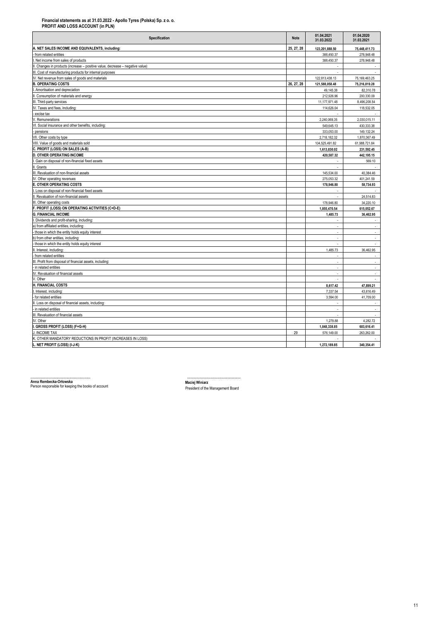# **Financial statements as at 31.03.2022 - Apollo Tyres (Polska) Sp. z o. o. PROFIT AND LOSS ACCOUNT (in PLN)**

| Specification                                                                | <b>Note</b> | 01.04.2021<br>31.03.2022 | 01.04.2020<br>31.03.2021 |
|------------------------------------------------------------------------------|-------------|--------------------------|--------------------------|
| A. NET SALES INCOME AND EQUIVALENTS, including:                              | 25, 27, 28  | 123,201,888.50           | 75,448,411.73            |
| - from related entities                                                      |             | 388,450.37               | 278,948.48               |
| Net income from sales of products                                            |             | 388,450.37               | 278,948.48               |
| . Changes in products (increase - positive value, decrease - negative value) |             |                          |                          |
| III. Cost of manufacturing products for internal purposes                    |             |                          |                          |
| IV. Net revenue from sales of goods and materials                            |             | 122,813,438.13           | 75, 169, 463. 25         |
| <b>B. OPERATING COSTS</b>                                                    | 26, 27, 28  | 121,588,058.48           | 75,216,819.28            |
| Amortisation and depreciation                                                |             | 49, 145.38               | 82,310.78                |
| II. Consumption of materials and energy                                      |             | 212,926.96               | 200,330.09               |
| III. Third-party services                                                    |             | 11, 177, 971.48          | 8,496,208.54             |
| IV. Taxes and fees, including:                                               |             | 114,626.04               | 118,532.05               |
| excise tax                                                                   |             |                          |                          |
| V. Remunerations                                                             |             | 2,240,069.35             | 2,030,015.11             |
| VI. Social insurance and other benefits, including:                          |             | 549,645.13               | 430,333.38               |
| - pensions                                                                   |             | 333,053.00               | 149, 132.24              |
| VII. Other costs by type                                                     |             | 2,718,182.32             | 1,870,367.49             |
| VIII. Value of goods and materials sold                                      |             | 104,525,491.82           | 61,988,721.84            |
| C. PROFIT (LOSS) ON SALES (A-B)                                              |             | 1,613,830.02             | 231,592.45               |
| <b>D. OTHER OPERATING INCOME</b>                                             |             | 420,587.32               | 442,195.15               |
| Gain on disposal of non-financial fixed assets                               |             |                          | 569.10                   |
| Grants                                                                       |             |                          |                          |
| III. Revaluation of non-financial assets                                     |             | 145,534.00               | 40,384.46                |
| IV. Other operating revenues                                                 |             | 275,053.32               | 401,241.59               |
| E<br><b>OTHER OPERATING COSTS</b>                                            |             | 178,946.80               | 58,734.93                |
| Loss on disposal of non-financial fixed assets                               |             |                          |                          |
| . Revaluation of non-financial assets                                        |             |                          | 24,514.83                |
| III. Other operating costs                                                   |             | 178,946.80               | 34,220.10                |
| F. PROFIT (LOSS) ON OPERATING ACTIVITIES (C+D-E)                             |             | 1,855,470.54             | 615,052.67               |
| <b>G. FINANCIAL INCOME</b>                                                   |             | 1,485.73                 | 36,462.95                |
| Dividends and profit-sharing, including:                                     |             |                          |                          |
| a) from affiliated entities, including:                                      |             |                          | ÷.                       |
| - those in which the entity holds equity interest                            |             | $\overline{\phantom{a}}$ | $\sim$                   |
| b) from other entities, including:                                           |             |                          | ÷.                       |
| - those in which the entity holds equity interest                            |             |                          |                          |
| II. Interest, including:                                                     |             | 1,485.73                 | 36,462.95                |
| - from related entities                                                      |             |                          |                          |
| III. Profit from disposal of financial assets, including:                    |             | ÷.                       | $\sim$                   |
| - in related entities                                                        |             | ٠                        | $\sim$                   |
| IV. Revaluation of financial assets                                          |             |                          | ÷.                       |
| V. Other                                                                     |             | ÷,                       | $\sim$                   |
| H. FINANCIAL COSTS                                                           |             | 8,617.42                 | 47,899.21                |
| Interest, including:                                                         |             | 7,337.54                 | 43,616.49                |
| - for related entities                                                       |             | 3,594.00                 | 41,709.00                |
| II. Loss on disposal of financial assets, including:                         |             |                          |                          |
| - in related entities                                                        |             | ÷.                       | ÷.                       |
| III. Revaluation of financial assets                                         |             |                          |                          |
| IV. Other                                                                    |             | 1,279.88                 | 4,282.72                 |
| GROSS PROFIT (LOSS) (F+G-H)                                                  |             | 1,848,338.85             | 603,616.41               |
| <b>INCOME TAX</b>                                                            | 29          | 576,149.00               | 263,262.00               |
| OTHER MANDATORY REDUCTIONS IN PROFIT (INCREASES IN LOSS)                     |             |                          |                          |
| NET PROFIT (LOSS) (I-J-K)                                                    |             | 1,272,189.85             | 340,354.41               |

**……………………………………………… ………………………………………… Anna Rembecka-Orłowska** Person responsible for keeping the books of account **Maciej Winiarz** President of the Management Board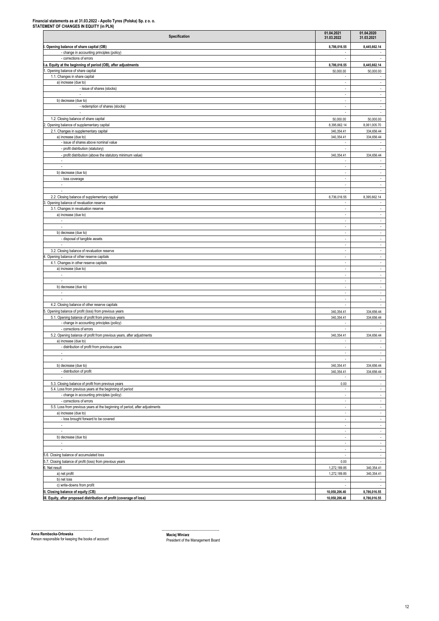# **Financial statements as at 31.03.2022 - Apollo Tyres (Polska) Sp. z o. o. STATEMENT OF CHANGES IN EQUITY (in PLN)**

| EMENT OF OTHINGED IN EQUITY (III I EN)<br>Specification                                          | 01.04.2021<br>31.03.2022                         | 01.04.2020<br>31.03.2021             |
|--------------------------------------------------------------------------------------------------|--------------------------------------------------|--------------------------------------|
| Opening balance of share capital (OB)                                                            | 8,786,016.55                                     | 8,445,662.14                         |
| - change in accounting principles (policy)                                                       | ÷,                                               |                                      |
| - corrections of errors<br>I.a. Equity at the beginning of period (OB), after adjustments        | $\sim$<br>8,786,016.55                           | 8,445,662.14                         |
| Opening balance of share capital                                                                 | 50,000.00                                        | 50,000.00                            |
| 1.1. Changes in share capital                                                                    | ÷,                                               |                                      |
| a) increase (due to)                                                                             | $\omega$                                         | $\omega$                             |
| - issue of shares (stocks)                                                                       | ÷,                                               | ÷,                                   |
|                                                                                                  | $\omega$                                         | $\omega$                             |
| b) decrease (due to)<br>- redemption of shares (stocks)                                          | $\sim$<br>÷,                                     | ÷<br>$\ddot{\phantom{1}}$            |
|                                                                                                  | $\epsilon$                                       | $\sim$                               |
| 1.2. Closing balance of share capital                                                            | 50,000.00                                        | 50,000.00                            |
| Opening balance of supplementary capital                                                         | 8,395,662.14                                     | 8,061,005.70                         |
| 2.1. Changes in supplementary capital                                                            | 340,354.41                                       | 334,656.44                           |
| a) increase (due to)                                                                             | 340,354.41                                       | 334,656.44                           |
| - issue of shares above nominal value<br>- profit distribution (statutory)                       | $\Box$                                           | $\overline{\phantom{a}}$             |
| - profit distribution (above the statutory minimum value)                                        | 340,354.41                                       | 334,656.44                           |
| $\overline{\phantom{a}}$                                                                         | ÷,                                               | ÷,                                   |
| $\overline{\phantom{a}}$                                                                         | $\omega$                                         | $\epsilon$                           |
| b) decrease (due to)                                                                             | $\omega$                                         | $\ddot{\phantom{1}}$                 |
| - loss coverage                                                                                  | $\omega$                                         | $\omega$                             |
| $\overline{\phantom{a}}$<br>$\overline{\phantom{a}}$                                             | $\overline{\phantom{a}}$<br>$\sim$               | $\sim$<br>$\mathcal{L}$              |
| 2.2. Closing balance of supplementary capital                                                    | 8,736,016.55                                     | 8,395,662.14                         |
| Opening balance of revaluation reserve                                                           | $\sim$                                           | ÷,                                   |
| 3.1. Changes in revaluation reserve                                                              | $\omega$                                         | $\sim$                               |
| a) increase (due to)                                                                             | $\ddot{\phantom{1}}$                             | ÷.                                   |
| $\overline{\phantom{a}}$                                                                         | $\bar{\mathbf{z}}$                               | $\omega$                             |
| $\overline{\phantom{a}}$<br>b) decrease (due to)                                                 | $\sim$<br>$\omega$                               | $\overline{\phantom{a}}$<br>$\omega$ |
| - disposal of tangible assets                                                                    | $\ddot{\phantom{1}}$                             | $\ddot{\phantom{1}}$                 |
| $\mathcal{L}_{\mathcal{A}}$                                                                      | $\omega$                                         | $\omega$                             |
| 3.2. Closing balance of revaluation reserve                                                      | $\omega$                                         | $\omega$                             |
| Opening balance of other reserve capitals                                                        | $\omega$                                         | $\blacksquare$                       |
| 4.1. Changes in other reserve capitals                                                           | $\overline{\phantom{a}}$                         | $\omega$                             |
| a) increase (due to)                                                                             | $\ddot{\phantom{1}}$                             | $\overline{\phantom{a}}$             |
| $\overline{\phantom{a}}$<br>÷,                                                                   | $\overline{\phantom{a}}$<br>$\ddot{\phantom{1}}$ | $\omega$<br>$\blacksquare$           |
| b) decrease (due to)                                                                             | $\omega$                                         | $\mathcal{L}$                        |
| $\overline{\phantom{a}}$                                                                         | ÷.                                               | $\sim$                               |
|                                                                                                  | $\overline{\phantom{a}}$                         | $\Box$                               |
| 4.2. Closing balance of other reserve capitals                                                   | $\overline{a}$                                   | $\overline{a}$                       |
| Opening balance of profit (loss) from previous years                                             | 340,354.41                                       | 334,656.44                           |
| 5.1. Opening balance of profit from previous years<br>- change in accounting principles (policy) | 340,354.41                                       | 334,656.44                           |
| - corrections of errors                                                                          | $\omega$                                         | $\sim$                               |
| 5.2. Opening balance of profit from previous years, after adjustments                            | 340,354.41                                       | 334,656.44                           |
| a) increase (due to)                                                                             |                                                  |                                      |
| - distribution of profit from previous years                                                     | ÷.                                               | ä,                                   |
| $\overline{\phantom{a}}$                                                                         | $\omega$                                         | $\omega$                             |
|                                                                                                  |                                                  |                                      |
| b) decrease (due to)<br>- distribution of profit                                                 | 340,354.41<br>340,354.41                         | 334,656.44<br>334,656.44             |
| $\overline{\phantom{a}}$                                                                         | $\sim$                                           |                                      |
| 5.3. Closing balance of profit from previous years                                               | 0.00                                             | $\sim$                               |
| 5.4. Loss from previous years at the beginning of period                                         | $\omega$                                         | $\omega$                             |
| - change in accounting principles (policy)                                                       | $\omega$                                         | ä,                                   |
| - corrections of errors                                                                          | ä,                                               | $\omega$                             |
| 5.5. Loss from previous years at the beginning of period, after adjustments                      | ÷,<br>$\omega$                                   | $\ddot{\phantom{1}}$<br>$\omega$     |
| a) increase (due to)<br>- loss brought forward to be covered                                     | $\Box$                                           | $\sim$                               |
| $\overline{\phantom{a}}$                                                                         | $\omega$                                         | $\omega$                             |
| ÷,                                                                                               | $\omega$                                         | $\omega$                             |
| b) decrease (due to)                                                                             | $\omega$                                         | $\sim$                               |
| $\overline{\phantom{a}}$                                                                         | $\sim$                                           | $\sim$                               |
| $\overline{\phantom{a}}$                                                                         | $\omega$                                         | ÷.                                   |
| 5.6. Closing balance of accumulated loss                                                         | $\omega$                                         | $\omega$                             |
| 5.7. Closing balance of profit (loss) from previous years<br>6. Net result                       | 0.00<br>1,272,189.85                             | $\mathcal{L}$<br>340,354.41          |
| a) net profit                                                                                    | 1,272,189.85                                     | 340,354.41                           |
| b) net loss                                                                                      | $\sim$                                           | $\sim$                               |
| c) write-downs from profit                                                                       | $\omega$                                         | $\sim$                               |
| II. Closing balance of equity (CB)                                                               | 10,058,206.40                                    | 8,786,016.55                         |
| III. Equity, after proposed distribution of profit (coverage of loss)                            | 10,058,206.40                                    | 8,786,016.55                         |

**Anna Rembecka-Orłowska** Person responsible for keeping the books of account

**……………………………………………….. ……………………………………………. Maciej Winiarz** President of the Management Board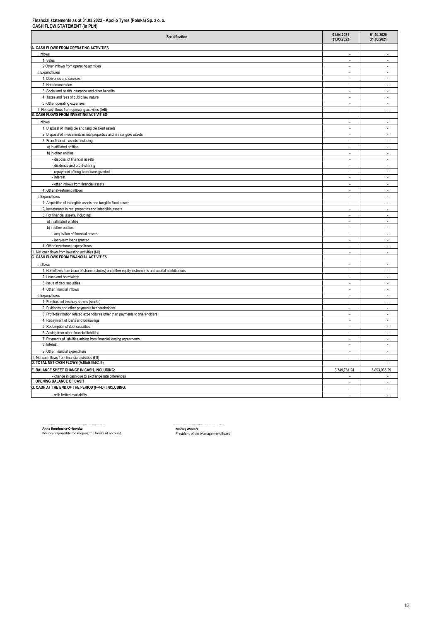# **Financial statements as at 31.03.2022 - Apollo Tyres (Polska) Sp. z o. o. CASH FLOW STATEMENT (in PLN)**

| Specification                                                                                                                 | 01.04.2021<br>31.03.2022    | 01.04.2020<br>31.03.2021 |
|-------------------------------------------------------------------------------------------------------------------------------|-----------------------------|--------------------------|
| A. CASH FLOWS FROM OPERATING ACTIVITIES                                                                                       |                             |                          |
| I. Inflows                                                                                                                    | $\sim$                      | $\overline{a}$           |
| 1. Sales                                                                                                                      | $\mathcal{L}_{\mathcal{A}}$ | $\overline{\phantom{a}}$ |
| 2.Other inflows from operating activities                                                                                     | ÷,                          | $\overline{a}$           |
| II. Expenditures                                                                                                              | ٠                           | $\overline{\phantom{a}}$ |
| 1. Deliveries and services                                                                                                    | $\sim$                      | ÷,                       |
| 2. Net remuneration                                                                                                           | $\overline{\phantom{a}}$    | $\overline{\phantom{a}}$ |
| 3. Social and health insurance and other benefits                                                                             | $\mathcal{L}$               | $\overline{a}$           |
| 4. Taxes and fees of public law nature                                                                                        | ÷,                          |                          |
| 5. Other operating expenses                                                                                                   | $\mathbf{r}$                | $\sim$                   |
| III. Net cash flows from operating activities (I±II)<br><b>B. CASH FLOWS FROM INVESTING ACTIVITIES</b>                        | ä,                          | $\overline{\phantom{a}}$ |
|                                                                                                                               | ÷.                          | $\overline{\phantom{a}}$ |
| I. Inflows                                                                                                                    | ä,                          | $\overline{a}$           |
| 1. Disposal of intangible and tangible fixed assets<br>2. Disposal of investments in real properties and in intangible assets | $\overline{\phantom{a}}$    | $\epsilon$               |
| 3. From financial assets, including:                                                                                          | $\mathcal{L}_{\mathcal{A}}$ | $\overline{a}$           |
| a) in affiliated entities                                                                                                     | $\overline{\phantom{a}}$    | $\overline{\phantom{a}}$ |
| b) in other entities                                                                                                          | $\mathcal{L}$               | $\overline{\phantom{a}}$ |
| - disposal of financial assets                                                                                                | ä,                          | $\overline{\phantom{a}}$ |
| - dividends and profit-sharing                                                                                                | $\mathcal{L}_{\mathcal{A}}$ | $\overline{a}$           |
| - repayment of long-term loans granted                                                                                        | ä,                          | $\overline{\phantom{a}}$ |
| - interest                                                                                                                    | ä,                          | $\overline{\phantom{a}}$ |
| - other inflows from financial assets                                                                                         | $\mathcal{L}$               | $\mathbf{r}$             |
| 4. Other investment inflows                                                                                                   | $\mathcal{L}_{\mathcal{A}}$ | ٠                        |
| II. Expenditures                                                                                                              | $\epsilon$                  | $\overline{\phantom{a}}$ |
| 1. Acquisition of intangible assets and tangible fixed assets                                                                 | L.                          | ÷.                       |
| 2. Investments in real properties and intangible assets                                                                       | ÷.                          | $\overline{\phantom{a}}$ |
| 3. For financial assets, including                                                                                            | $\sim$                      | ÷,                       |
| a) in affiliated entities                                                                                                     | ÷                           | $\overline{\phantom{a}}$ |
| b) in other entities                                                                                                          | ÷.                          | $\sim$                   |
| - acquisition of financial assets                                                                                             | ä,                          | ÷.                       |
| - long-term loans granted                                                                                                     | $\mathcal{L}_{\mathcal{A}}$ |                          |
| 4. Other investment expenditures                                                                                              | $\sim$                      | $\overline{\phantom{a}}$ |
| III. Net cash flows from investing activities (I-II)                                                                          | ÷                           | ÷                        |
| <b>C. CASH FLOWS FROM FINANCIAL ACTIVITIES</b>                                                                                |                             |                          |
| I. Inflows                                                                                                                    | ÷                           |                          |
| 1. Net inflows from issue of shares (stocks) and other equity instruments and capital contributions                           | $\overline{\phantom{a}}$    | $\overline{\phantom{a}}$ |
| 2. Loans and borrowings                                                                                                       | $\mathbf{r}$                | $\sim$                   |
| 3. Issue of debt securities                                                                                                   | $\sim$                      | $\sim$                   |
| 4. Other financial inflows                                                                                                    | ä,                          |                          |
| II. Expenditures                                                                                                              | $\overline{\phantom{a}}$    | $\overline{\phantom{a}}$ |
| 1. Purchase of treasury shares (stocks)                                                                                       | ÷                           | $\overline{a}$           |
| 2. Dividends and other payments to shareholders                                                                               | ÷.<br>$\overline{a}$        | $\overline{a}$           |
| 3. Profit-distribution related expenditures other than payments to shareholders                                               | $\overline{\phantom{a}}$    | $\overline{\phantom{a}}$ |
| 4. Repayment of loans and borrowings<br>5. Redemption of debt securities                                                      | ÷                           |                          |
| 6. Arising from other financial liabilities                                                                                   | ٠                           | ÷.                       |
| 7. Payments of liabilities arising from financial leasing agreements                                                          |                             |                          |
| 8. Interest                                                                                                                   | $\mathcal{L}_{\mathcal{A}}$ | $\overline{\phantom{a}}$ |
| 9. Other financial expenditure                                                                                                | ä,                          | ÷,                       |
| III. Net cash flows from financial activities (I-II)                                                                          | $\overline{\phantom{a}}$    | ÷.                       |
| D. TOTAL NET CASH FLOWS (A.III±B.III±C.III)                                                                                   |                             |                          |
| E. BALANCE SHEET CHANGE IN CASH, INCLUDING:                                                                                   | 3,749,781.94                | 5,893,036.29             |
| - change in cash due to exchange rate differences                                                                             |                             |                          |
| F. OPENING BALANCE OF CASH                                                                                                    | $\overline{\phantom{a}}$    | $\overline{\phantom{a}}$ |
| G. CASH AT THE END OF THE PERIOD (F+/-D), INCLUDING:                                                                          | ÷                           | $\overline{a}$           |
| - with limited availability                                                                                                   | ÷,                          | ÷,                       |

**…………………………………………………………….. ……..……………………………………………. Anna Rembecka-Orłowska** Person responsible for keeping the books of account

**Maciej Winiarz** President of the Management Board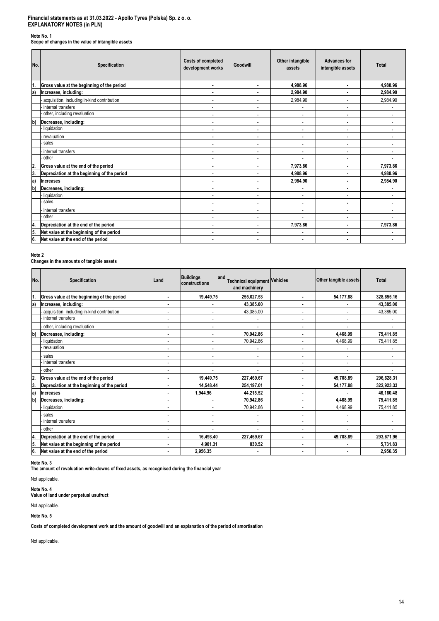#### **Note No. 1**

**Scope of changes in the value of intangible assets**

| No.          | Specification                               | Costs of completed<br>development works | Goodwill       | Other intangible<br>assets | <b>Advances for</b><br>intangible assets | <b>Total</b> |
|--------------|---------------------------------------------|-----------------------------------------|----------------|----------------------------|------------------------------------------|--------------|
| 1.           | Gross value at the beginning of the period  | $\blacksquare$                          | ٠              | 4.988.96                   | $\blacksquare$                           | 4,988.96     |
| a)           | Increases, including:                       | $\blacksquare$                          | ۰              | 2.984.90                   |                                          | 2,984.90     |
|              | acquisition, including in-kind contribution | ٠                                       | ٠              | 2,984.90                   |                                          | 2,984.90     |
|              | internal transfers                          | ٠                                       | ٠              |                            |                                          |              |
|              | other, including revaluation                | ٠                                       | ٠              | ٠                          |                                          |              |
| $\mathbf{b}$ | Decreases, including:                       | $\blacksquare$                          | $\blacksquare$ | $\overline{\phantom{a}}$   | $\blacksquare$                           |              |
|              | - liquidation                               | $\overline{\phantom{a}}$                | ٠              | ٠                          | $\blacksquare$                           |              |
|              | revaluation                                 | ٠                                       | ٠              | ٠                          |                                          |              |
|              | sales                                       | ٠                                       | ٠              | ۰                          |                                          |              |
|              | internal transfers                          | $\blacksquare$                          | ٠              | ٠                          |                                          |              |
|              | other                                       | $\overline{\phantom{a}}$                | ٠              | ٠                          | ٠                                        |              |
| 2.           | Gross value at the end of the period        | $\blacksquare$                          | ٠              | 7.973.86                   | $\overline{\phantom{a}}$                 | 7.973.86     |
| 3.           | Depreciation at the beginning of the period | ٠                                       | ٠              | 4,988.96                   | $\blacksquare$                           | 4,988.96     |
| a)           | Increases                                   | ٠                                       |                | 2,984.90                   |                                          | 2,984.90     |
| b)           | Decreases, including:                       | ٠                                       | ٠              | ٠                          |                                          |              |
|              | - liquidation                               | ٠                                       | ٠              | ٠                          |                                          |              |
|              | sales                                       | ٠                                       | ٠              | ٠                          | $\blacksquare$                           |              |
|              | internal transfers                          | $\overline{\phantom{a}}$                | ٠              | $\overline{\phantom{a}}$   | ۰                                        |              |
|              | - other                                     | ٠                                       | ٠              |                            |                                          |              |
| 4.           | Depreciation at the end of the period       | ٠                                       | ٠              | 7,973.86                   |                                          | 7,973.86     |
| 5.           | Net value at the beginning of the period    | ٠                                       | ٠              |                            |                                          |              |
| 6.           | Net value at the end of the period          | $\overline{a}$                          |                | ٠                          |                                          |              |

# **Note 2**

**Changes in the amounts of tangible assets**

| No. | Specification                               | Land           | <b>Buildings</b><br>andl<br>constructions | <b>Technical equipment Vehicles</b><br>and machinery |                          | Other tangible assets | Total      |
|-----|---------------------------------------------|----------------|-------------------------------------------|------------------------------------------------------|--------------------------|-----------------------|------------|
| 1.  | Gross value at the beginning of the period  |                | 19,449.75                                 | 255,027.53                                           |                          | 54,177.88             | 328,655.16 |
| a)  | Increases, including:                       |                |                                           | 43,385.00                                            |                          |                       | 43,385.00  |
|     | acquisition, including in-kind contribution |                |                                           | 43,385.00                                            |                          |                       | 43,385.00  |
|     | internal transfers                          |                | L,                                        |                                                      |                          |                       |            |
|     | other, including revaluation                | ٠              | ۰                                         |                                                      | $\overline{\phantom{a}}$ |                       |            |
| b)  | Decreases, including:                       | $\blacksquare$ | Ĭ.                                        | 70,942.86                                            | $\blacksquare$           | 4.468.99              | 75,411.85  |
|     | liquidation                                 |                |                                           | 70,942.86                                            |                          | 4,468.99              | 75,411.85  |
|     | revaluation                                 |                |                                           |                                                      |                          |                       |            |
|     | sales                                       |                | ٠                                         | ٠                                                    |                          |                       |            |
|     | internal transfers                          | ٠              | ٠                                         | ÷                                                    | ٠                        |                       |            |
|     | other                                       |                |                                           |                                                      |                          |                       |            |
| 2.  | Gross value at the end of the period        | $\blacksquare$ | 19,449.75                                 | 227,469.67                                           | ٠                        | 49.708.89             | 296.628.31 |
| 3.  | Depreciation at the beginning of the period | ٠              | 14.548.44                                 | 254.197.01                                           | ٠                        | 54,177.88             | 322.923.33 |
| a)  | Increases                                   | ٠              | 1,944.96                                  | 44,215.52                                            | ٠                        |                       | 46,160.48  |
| b)  | Decreases, including:                       | ٠              | ٠                                         | 70,942.86                                            |                          | 4.468.99              | 75,411.85  |
|     | liquidation                                 | ٠              | $\overline{\phantom{a}}$                  | 70,942.86                                            | $\overline{\phantom{a}}$ | 4,468.99              | 75,411.85  |
|     | sales                                       |                | ٠                                         |                                                      |                          |                       |            |
|     | internal transfers                          |                | ٠                                         | ÷                                                    | $\overline{\phantom{a}}$ |                       |            |
|     | other                                       |                |                                           |                                                      |                          |                       |            |
| 4.  | Depreciation at the end of the period       |                | 16.493.40                                 | 227.469.67                                           | $\overline{\phantom{a}}$ | 49.708.89             | 293,671.96 |
| 5.  | Net value at the beginning of the period    |                | 4.901.31                                  | 830.52                                               |                          |                       | 5,731.83   |
| 6.  | Net value at the end of the period          |                | 2.956.35                                  |                                                      |                          |                       | 2.956.35   |

**Note No. 3**

**The amount of revaluation write-downs of fixed assets, as recognised during the financial year**

Not applicable.

**Note No. 4 Value of land under perpetual usufruct**

Not applicable.

**Note No. 5**

**Costs of completed development work and the amount of goodwill and an explanation of the period of amortisation**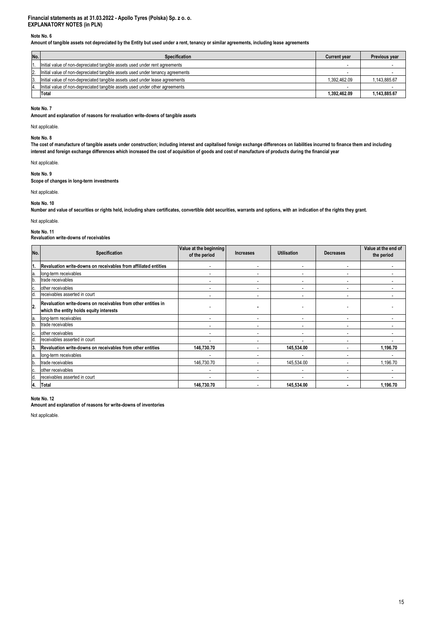#### **Note No. 6**

**Amount of tangible assets not depreciated by the Entity but used under a rent, tenancy or similar agreements, including lease agreements**

| <b>No.</b> | <b>Specification</b>                                                           | <b>Current vear</b> | <b>Previous year</b> |
|------------|--------------------------------------------------------------------------------|---------------------|----------------------|
|            | Initial value of non-depreciated tangible assets used under rent agreements    |                     |                      |
| 12.        | Initial value of non-depreciated tangible assets used under tenancy agreements |                     |                      |
| 13.        | Initial value of non-depreciated tangible assets used under lease agreements   | 1.392.462.09        | 1.143.885.67         |
| 14.        | Initial value of non-depreciated tangible assets used under other agreements   |                     |                      |
|            | Total                                                                          | 1.392.462.09        | 1.143.885.67         |

#### **Note No. 7**

**Amount and explanation of reasons for revaluation write-downs of tangible assets**

Not applicable.

**Note No. 8**

**The cost of manufacture of tangible assets under construction; including interest and capitalised foreign exchange differences on liabilities incurred to finance them and including interest and foreign exchange differences which increased the cost of acquisition of goods and cost of manufacture of products during the financial year**

Not applicable.

**Note No. 9**

**Scope of changes in long-term investments**

Not applicable.

**Note No. 10**

**Number and value of securities or rights held, including share certificates, convertible debt securities, warrants and options, with an indication of the rights they grant.**

Not applicable.

#### **Note No. 11**

**Revaluation write-downs of receivables**

| No. | Specification                                                                                            | Value at the beginning<br>of the period | <b>Increases</b> | <b>Utilisation</b> | <b>Decreases</b> | Value at the end of<br>the period |
|-----|----------------------------------------------------------------------------------------------------------|-----------------------------------------|------------------|--------------------|------------------|-----------------------------------|
| 1.  | Revaluation write-downs on receivables from affiliated entities                                          | ٠                                       | ٠                | ٠                  | ٠                |                                   |
| a.  | long-term receivables                                                                                    |                                         |                  | ٠                  |                  |                                   |
| b.  | trade receivables                                                                                        |                                         |                  | ۰                  |                  |                                   |
| c.  | other receivables                                                                                        |                                         | ۰                | ٠                  | ٠                |                                   |
| d.  | receivables asserted in court                                                                            |                                         |                  | ٠                  |                  |                                   |
| 2.  | Revaluation write-downs on receivables from other entities in<br>which the entity holds equity interests |                                         |                  |                    |                  |                                   |
| a.  | long-term receivables                                                                                    |                                         |                  | ٠                  |                  |                                   |
| b.  | trade receivables                                                                                        |                                         |                  |                    |                  |                                   |
| c.  | other receivables                                                                                        |                                         |                  | ٠                  | Ĩ.               |                                   |
| d.  | receivables asserted in court                                                                            |                                         |                  |                    |                  |                                   |
| 3.  | Revaluation write-downs on receivables from other entities                                               | 146,730.70                              |                  | 145,534.00         |                  | 1,196.70                          |
| la. | long-term receivables                                                                                    |                                         |                  | ۰                  |                  |                                   |
| b.  | trade receivables                                                                                        | 146,730.70                              |                  | 145,534.00         | ۰                | 1,196.70                          |
| c.  | other receivables                                                                                        |                                         |                  | ٠                  |                  |                                   |
| d.  | receivables asserted in court                                                                            |                                         | ٠                | ۰                  | ٠                |                                   |
| 4.  | <b>Total</b>                                                                                             | 146,730.70                              |                  | 145,534.00         |                  | 1,196.70                          |

**Note No. 12**

**Amount and explanation of reasons for write-downs of inventories**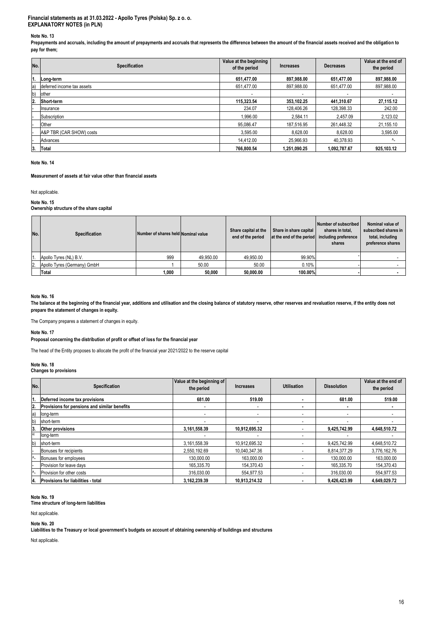#### **Note No. 13**

**Prepayments and accruals, including the amount of prepayments and accruals that represents the difference between the amount of the financial assets received and the obligation to pay for them;**

| No.           | <b>Specification</b>       | Value at the beginning<br>of the period | <b>Increases</b> | Decreases    | Value at the end of<br>the period |
|---------------|----------------------------|-----------------------------------------|------------------|--------------|-----------------------------------|
| 1.            | Long-term                  | 651.477.00                              | 897,988.00       | 651.477.00   | 897.988.00                        |
| a)            | deferred income tax assets | 651.477.00                              | 897.988.00       | 651.477.00   | 897.988.00                        |
| $\mathsf{b})$ | other                      |                                         | ٠                |              |                                   |
| 2.            | Short-term                 | 115.323.54                              | 353,102.25       | 441,310.67   | 27,115.12                         |
|               | Insurance                  | 234.07                                  | 128,406.26       | 128,398.33   | 242.00                            |
|               | Subscription               | 1.996.00                                | 2.584.11         | 2.457.09     | 2.123.02                          |
|               | Other                      | 95,086.47                               | 187,516.95       | 261,448.32   | 21,155.10                         |
|               | A&P TBR (CAR SHOW) costs   | 3,595.00                                | 8.628.00         | 8.628.00     | 3,595.00                          |
|               | Advances                   | 14.412.00                               | 25,966.93        | 40.378.93    | ٨.                                |
| 3.            | Total                      | 766.800.54                              | 1.251.090.25     | 1.092.787.67 | 925,103.12                        |

**Note No. 14**

#### **Measurement of assets at fair value other than financial assets**

Not applicable.

**Note No. 15**

**Ownership structure of the share capital**

| No. | <b>Specification</b>        | Number of shares held Nominal value |           | Share capital at the<br>end of the period | Share in share capital<br>at the end of the period including preference | Number of subscribed<br>shares in total.<br>shares | Nominal value of<br>subscribed shares in<br>total, including<br>preference shares |
|-----|-----------------------------|-------------------------------------|-----------|-------------------------------------------|-------------------------------------------------------------------------|----------------------------------------------------|-----------------------------------------------------------------------------------|
|     | Apollo Tyres (NL) B.V.      | 999                                 | 49.950.00 | 49.950.00                                 | 99.90%                                                                  |                                                    |                                                                                   |
|     | Apollo Tyres (Germany) GmbH |                                     | 50.00     | 50.00                                     | 0.10%                                                                   |                                                    |                                                                                   |
|     | <b>Total</b>                | 1,000                               | 50,000    | 50.000.00                                 | 100.00%                                                                 |                                                    |                                                                                   |

#### **Note No. 16**

**The balance at the beginning of the financial year, additions and utilisation and the closing balance of statutory reserve, other reserves and revaluation reserve, if the entity does not prepare the statement of changes in equity.**

The Company prepares a statement of changes in equity.

#### **Note No. 17**

# **Proposal concerning the distribution of profit or offset of loss for the financial year**

The head of the Entity proposes to allocate the profit of the financial year 2021/2022 to the reserve capital

**Note No. 18**

**Changes to provisions**

| No.          | Specification                                | Value at the beginning of<br>the period | <b>Increases</b> | <b>Utilisation</b> | <b>Dissolution</b> | Value at the end of<br>the period |
|--------------|----------------------------------------------|-----------------------------------------|------------------|--------------------|--------------------|-----------------------------------|
|              | Deferred income tax provisions               | 681.00                                  | 519.00           | ۰                  | 681.00             | 519.00                            |
| 2.           | Provisions for pensions and similar benefits |                                         | ۰                | ٠                  |                    |                                   |
| a)           | long-term                                    |                                         |                  | ٠                  | ۰                  |                                   |
| $\mathsf{b}$ | short-term                                   |                                         | ۰                | ٠                  | ۰                  |                                   |
| 3.           | Other provisions                             | 3.161.558.39                            | 10.912.695.32    | ٠                  | 9,425,742.99       | 4,648,510.72                      |
| a)           | long-term                                    |                                         |                  | ٠                  |                    |                                   |
| b)           | short-term                                   | 3.161.558.39                            | 10,912,695.32    |                    | 9.425.742.99       | 4.648.510.72                      |
|              | Bonuses for recipients                       | 2,550,192.69                            | 10,040,347.36    | ۰                  | 8,814,377.29       | 3,776,162.76                      |
|              | Bonuses for employees                        | 130,000.00                              | 163,000.00       |                    | 130.000.00         | 163,000.00                        |
|              | Provision for leave days                     | 165.335.70                              | 154.370.43       |                    | 165,335.70         | 154,370.43                        |
|              | Provision for other costs                    | 316,030.00                              | 554.977.53       | ٠                  | 316.030.00         | 554,977.53                        |
| 14.          | <b>Provisions for liabilities - total</b>    | 3.162.239.39                            | 10.913.214.32    |                    | 9.426.423.99       | 4.649.029.72                      |

**Note No. 19**

#### **Time structure of long-term liabilities**

Not applicable.

**Note No. 20**

**Liabilities to the Treasury or local government's budgets on account of obtaining ownership of buildings and structures**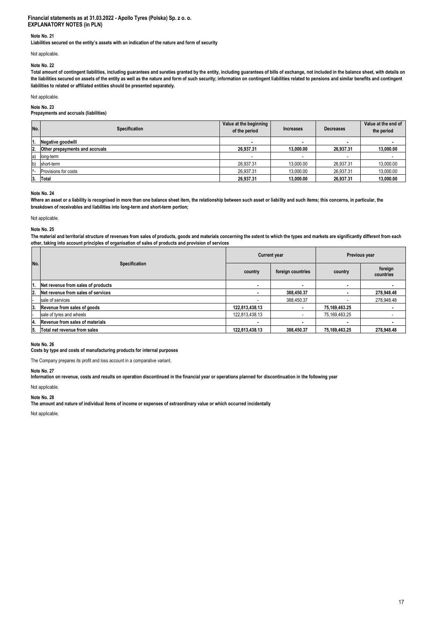### **Note No. 21**

**Liabilities secured on the entity's assets with an indication of the nature and form of security**

Not applicable.

#### **Note No. 22**

Total amount of contingent liabilities, including guarantees and sureties granted by the entity, including guarantees of bills of exchange, not included in the balance sheet, with details on **the liabilities secured on assets of the entity as well as the nature and form of such security; information on contingent liabilities related to pensions and similar benefits and contingent liabilities to related or affiliated entities should be presented separately.**

#### Not applicable.

#### **Note No. 23**

**Prepayments and accruals (liabilities)**

| No.          | <b>Specification</b>           | Value at the beginning<br>of the period | <b>Increases</b> | <b>Decreases</b> | Value at the end of<br>the period |
|--------------|--------------------------------|-----------------------------------------|------------------|------------------|-----------------------------------|
| 11.          | Negative goodwill              |                                         |                  |                  |                                   |
| $\mathbf{2}$ | Other prepayments and accruals | 26.937.31                               | 13.000.00        | 26.937.31        | 13,000.00                         |
| la)          | long-term                      |                                         |                  |                  |                                   |
| b)           | short-term                     | 26.937.31                               | 13.000.00        | 26.937.31        | 13,000.00                         |
| ^-           | Provisions for costs           | 26.937.31                               | 13,000.00        | 26,937.31        | 13,000.00                         |
| 3.           | Total                          | 26.937.31                               | 13.000.00        | 26,937.31        | 13,000.00                         |

**Note No. 24**

Where an asset or a liability is recognised in more than one balance sheet item, the relationship between such asset or liability and such items; this concerns, in particular, the **breakdown of receivables and liabilities into long-term and short-term portion;**

#### Not applicable.

#### **Note No. 25**

**The material and territorial structure of revenues from sales of products, goods and materials concerning the extent to which the types and markets are significantly different from each other, taking into account principles of organisation of sales of products and provision of services**

| No. | Specification                      | <b>Current year</b> |                   | Previous year |                      |
|-----|------------------------------------|---------------------|-------------------|---------------|----------------------|
|     |                                    | country             | foreign countries | country       | foreign<br>countries |
| 11. | Net revenue from sales of products | $\blacksquare$      |                   |               |                      |
| 2.  | Net revenue from sales of services |                     | 388,450.37        |               | 278,948.48           |
|     | sale of services                   |                     | 388,450.37        |               | 278,948.48           |
| 13. | Revenue from sales of goods        | 122,813,438.13      | ٠                 | 75,169,463.25 |                      |
|     | sale of tyres and wheels           | 122,813,438.13      |                   | 75,169,463.25 |                      |
| 4.  | Revenue from sales of materials    |                     |                   | ۰             |                      |
|     | 5. Total net revenue from sales    | 122,813,438.13      | 388,450.37        | 75,169,463.25 | 278,948.48           |

**Note No. 26**

**Costs by type and costs of manufacturing products for internal purposes**

The Company prepares its profit and loss account in a comparative variant.

# **Note No. 27**

**Information on revenue, costs and results on operation discontinued in the financial year or operations planned for discontinuation in the following year**

# Not applicable.

**Note No. 28**

**The amount and nature of individual items of income or expenses of extraordinary value or which occurred incidentally**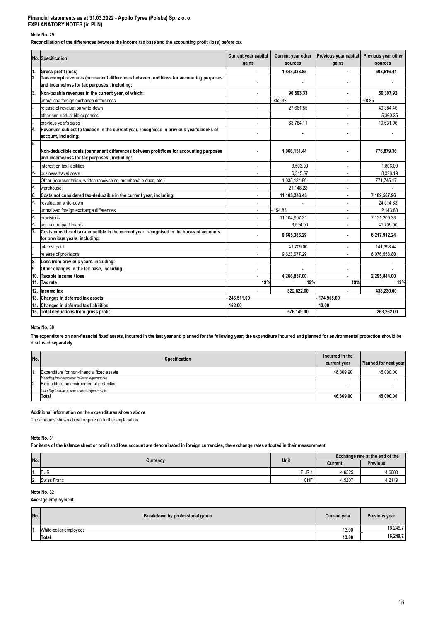#### **Note No. 29**

**Reconciliation of the differences between the income tax base and the accounting profit (loss) before tax**

|                | No. Specification                                                                                                                        | Current year capital<br>gains | Current year other<br>sources | Previous year capital<br>gains | Previous year other<br>sources |
|----------------|------------------------------------------------------------------------------------------------------------------------------------------|-------------------------------|-------------------------------|--------------------------------|--------------------------------|
| 1.             | Gross profit (loss)                                                                                                                      |                               | 1,848,338.85                  |                                | 603,616.41                     |
| 2.             | Tax-exempt revenues (permanent differences between profit/loss for accounting purposes<br>and income/loss for tax purposes), including:  |                               |                               |                                |                                |
| 3.             | Non-taxable revenues in the current year, of which:                                                                                      | $\blacksquare$                | 90.593.33                     | ٠                              | 56.307.92                      |
|                | unrealised foreign exchange differences                                                                                                  |                               | 852.33                        |                                | $-68.85$                       |
|                | release of revaluation write-down                                                                                                        |                               | 27.661.55                     |                                | 40.384.46                      |
|                | other non-deductible expenses                                                                                                            |                               |                               |                                | 5.360.35                       |
|                | previous year's sales                                                                                                                    |                               | 63.784.11                     |                                | 10,631.96                      |
| 4.             | Revenues subject to taxation in the current year, recognised in previous year's books of<br>account, including:                          |                               |                               |                                |                                |
| 5.             | Non-deductible costs (permanent differences between profit/loss for accounting purposes<br>and income/loss for tax purposes), including: |                               | 1,066,151.44                  |                                | 776,879.36                     |
|                | interest on tax liabilities                                                                                                              |                               | 3.503.00                      |                                | 1.806.00                       |
|                | business travel costs                                                                                                                    |                               | 6.315.57                      | ÷                              | 3.328.19                       |
|                | Other (representation, written receivables, membership dues, etc.)                                                                       | ٠                             | 1.035.184.59                  | $\overline{a}$                 | 771,745.17                     |
|                | warehouse                                                                                                                                | ٠                             | 21.148.28                     | ٠                              |                                |
| 6              | Costs not considered tax-deductible in the current year, including:                                                                      | $\blacksquare$                | 11.108.346.48                 | $\overline{\phantom{a}}$       | 7.189.567.96                   |
|                | revaluation write-down                                                                                                                   | $\blacksquare$                |                               | ÷,                             | 24.514.83                      |
|                | unrealised foreign exchange differences                                                                                                  |                               | $-154.83$                     | ÷,                             | 2,143.80                       |
| ٨.             | provisions                                                                                                                               |                               | 11,104,907.31                 |                                | 7,121,200.33                   |
|                | accrued unpaid interest                                                                                                                  |                               | 3.594.00                      |                                | 41.709.00                      |
| $\overline{7}$ | Costs considered tax-deductible in the current year, recognised in the books of accounts<br>for previous years, including:               |                               | 9,665,386.29                  |                                | 6,217,912.24                   |
|                | interest paid                                                                                                                            |                               | 41.709.00                     |                                | 141,358.44                     |
|                | release of provisions                                                                                                                    |                               | 9.623.677.29                  |                                | 6.076.553.80                   |
| 8.             | Loss from previous years, including:                                                                                                     |                               |                               |                                |                                |
| 9.             | Other changes in the tax base, including:                                                                                                |                               |                               |                                |                                |
| 10.            | Taxable income / loss                                                                                                                    |                               | 4.266.857.00                  |                                | 2.295.844.00                   |
| 11.            | Tax rate                                                                                                                                 | 19%                           | 19%                           | 19%                            | 19%                            |
| 12.            | Income tax                                                                                                                               |                               | 822.822.00                    |                                | 438.230.00                     |
| 13.            | Changes in deferred tax assets                                                                                                           | 246,511.00                    |                               | 174.955.00                     |                                |
| 14.            | Changes in deferred tax liabilities                                                                                                      | 162.00                        |                               | 13.00                          |                                |
| 15.            | Total deductions from gross profit                                                                                                       |                               | 576.149.00                    |                                | 263,262.00                     |

#### **Note No. 30**

**The expenditure on non-financial fixed assets, incurred in the last year and planned for the following year; the expenditure incurred and planned for environmental protection should be disclosed separately**

|    | No. | Specification                               | Incurred in the<br>current year | Planned for next year |
|----|-----|---------------------------------------------|---------------------------------|-----------------------|
|    |     | Expenditure for non-financial fixed assets  | 46.369.90                       | 45,000.00             |
|    |     | Including increases due to lease agreements |                                 |                       |
| 2. |     | Expenditure on environmental protection     |                                 |                       |
|    |     | including increases due to lease agreements |                                 |                       |
|    |     | Total                                       | 46.369.90                       | 45,000.00             |

# **Additional information on the expenditures shown above**

The amounts shown above require no further explanation.

#### **Note No. 31**

**For items of the balance sheet or profit and loss account are denominated in foreign currencies, the exchange rates adopted in their measurement**

| No. |                    |            | Exchange rate at the end of the |                 |
|-----|--------------------|------------|---------------------------------|-----------------|
|     | Currency           | Unit       | Current                         | <b>Previous</b> |
|     | <b>EUR</b>         | <b>EUR</b> | 4.6525                          | 4.6603          |
| z.  | <b>Swiss Franc</b> | <b>CHF</b> | 4.5207                          | 4.2119          |

#### **Note No. 32**

**Average employment**

| No. | Breakdown by professional group | <b>Current year</b> | <b>Previous year</b> |
|-----|---------------------------------|---------------------|----------------------|
|     | White-collar employees          | 13.00               | 16,249.7             |
|     | <b>Total</b>                    | 13.00               | 16,249.7             |
|     |                                 |                     |                      |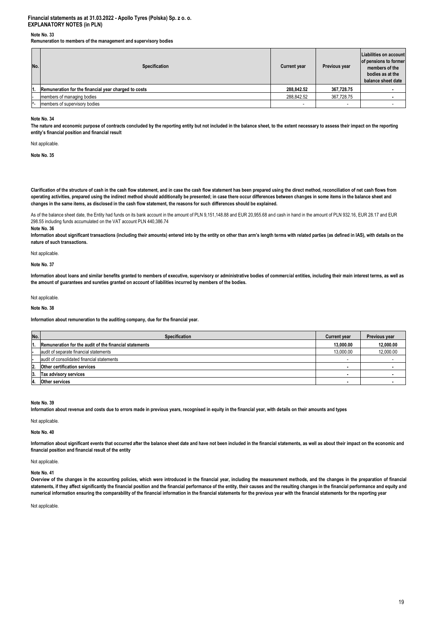#### **Note No. 33**

**Remuneration to members of the management and supervisory bodies**

| No. | Specification                                        | <b>Current year</b> | Previous year | Liabilities on account<br>of pensions to former<br>members of the<br>bodies as at the<br>balance sheet date |
|-----|------------------------------------------------------|---------------------|---------------|-------------------------------------------------------------------------------------------------------------|
| 11. | Remuneration for the financial year charged to costs | 288.842.52          | 367,728.75    |                                                                                                             |
|     | members of managing bodies                           | 288,842.52          | 367.728.75    |                                                                                                             |
|     | members of supervisory bodies                        |                     |               |                                                                                                             |

#### **Note No. 34**

The nature and economic purpose of contracts concluded by the reporting entity but not included in the balance sheet, to the extent necessary to assess their impact on the reporting **entity's financial position and financial result**

Not applicable.

**Note No. 35**

**Clarification of the structure of cash in the cash flow statement, and in case the cash flow statement has been prepared using the direct method, reconciliation of net cash flows from operating activities, prepared using the indirect method should additionally be presented; in case there occur differences between changes in some items in the balance sheet and changes in the same items, as disclosed in the cash flow statement, the reasons for such differences should be explained.**

As of the balance sheet date, the Entity had funds on its bank account in the amount of PLN 9,151,148.88 and EUR 20,955.68 and cash in hand in the amount of PLN 932.16, EUR 28.17 and EUR 298.55 including funds accumulated on the VAT account PLN 440,386.74

#### **Note No. 36**

Information about significant transactions (including their amounts) entered into by the entity on other than arm's length terms with related parties (as defined in IAS), with details on the **nature of such transactions.**

Not applicable.

#### **Note No. 37**

**Information about loans and similar benefits granted to members of executive, supervisory or administrative bodies of commercial entities, including their main interest terms, as well as the amount of guarantees and sureties granted on account of liabilities incurred by members of the bodies.**

#### Not applicable.

#### **Note No. 38**

**Information about remuneration to the auditing company, due for the financial year.**

| No. | <b>Specification</b>                                   | <b>Current year</b> | <b>Previous year</b> |
|-----|--------------------------------------------------------|---------------------|----------------------|
| 1.  | Remuneration for the audit of the financial statements | 13.000.00           | 12,000.00            |
|     | audit of separate financial statements                 | 13.000.00           | 12,000.00            |
|     | audit of consolidated financial statements             |                     |                      |
| 2.  | <b>Other certification services</b>                    |                     |                      |
| 13. | Tax advisory services                                  |                     |                      |
| 14. | Other services                                         |                     |                      |

#### **Note No. 39**

**Information about revenue and costs due to errors made in previous years, recognised in equity in the financial year, with details on their amounts and types**

Not applicable.

#### **Note No. 40**

**Information about significant events that occurred after the balance sheet date and have not been included in the financial statements, as well as about their impact on the economic and financial position and financial result of the entity**

#### Not applicable.

#### **Note No. 41**

**Overview of the changes in the accounting policies, which were introduced in the financial year, including the measurement methods, and the changes in the preparation of financial**  statements, if they affect significantly the financial position and the financial performance of the entity, their causes and the resulting changes in the financial performance and equity and **numerical information ensuring the comparability of the financial information in the financial statements for the previous year with the financial statements for the reporting year**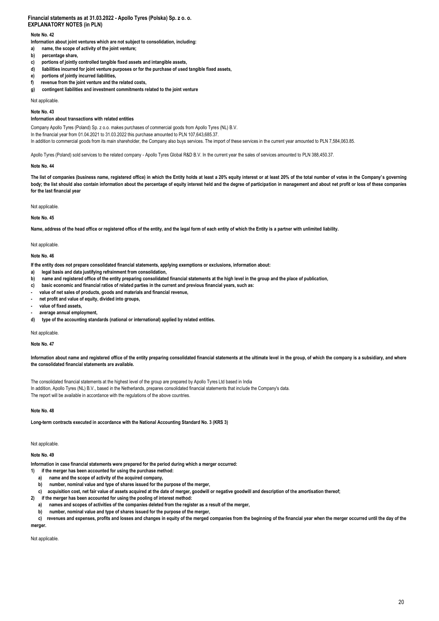#### **Note No. 42**

**Information about joint ventures which are not subject to consolidation, including:**

- **a) name, the scope of activity of the joint venture;**
- **b) percentage share,**
- **c) portions of jointly controlled tangible fixed assets and intangible assets,**
- **d) liabilities incurred for joint venture purposes or for the purchase of used tangible fixed assets,**
- **e) portions of jointly incurred liabilities,**
- **f) revenue from the joint venture and the related costs,**
- **g) contingent liabilities and investment commitments related to the joint venture**

#### Not applicable.

#### **Note No. 43**

#### **Information about transactions with related entities**

Company Apollo Tyres (Poland) Sp. z o.o. makes purchases of commercial goods from Apollo Tyres (NL) B.V. In the financial year from 01.04.2021 to 31.03.2022 this purchase amounted to PLN 107,643,685.37. In addition to commercial goods from its main shareholder, the Company also buys services. The import of these services in the current year amounted to PLN 7,584,063.85.

Apollo Tyres (Poland) sold services to the related company - Apollo Tyres Global R&D B.V. In the current year the sales of services amounted to PLN 388,450.37.

#### **Note No. 44**

**The list of companies (business name, registered office) in which the Entity holds at least a 20% equity interest or at least 20% of the total number of votes in the Company's governing body; the list should also contain information about the percentage of equity interest held and the degree of participation in management and about net profit or loss of these companies for the last financial year**

Not applicable.

#### **Note No. 45**

**Name, address of the head office or registered office of the entity, and the legal form of each entity of which the Entity is a partner with unlimited liability.**

#### Not applicable.

#### **Note No. 46**

- **If the entity does not prepare consolidated financial statements, applying exemptions or exclusions, information about:**
- **a) legal basis and data justifying refrainment from consolidation,**
- **b) name and registered office of the entity preparing consolidated financial statements at the high level in the group and the place of publication,**
- **c) basic economic and financial ratios of related parties in the current and previous financial years, such as:**
- **- value of net sales of products, goods and materials and financial revenue,**
- **- net profit and value of equity, divided into groups,**
- **- value of fixed assets,**
- **- average annual employment,**
- **d) type of the accounting standards (national or international) applied by related entities.**

#### Not applicable.

#### **Note No. 47**

Information about name and registered office of the entity preparing consolidated financial statements at the ultimate level in the group, of which the company is a subsidiary, and where **the consolidated financial statements are available.**

The consolidated financial statements at the highest level of the group are prepared by Apollo Tyres Ltd based in India In addition, Apollo Tyres (NL) B.V., based in the Netherlands, prepares consolidated financial statements that include the Company's data. The report will be available in accordance with the regulations of the above countries.

#### **Note No. 48**

**Long-term contracts executed in accordance with the National Accounting Standard No. 3 (KRS 3)**

#### Not applicable.

#### **Note No. 49**

**Information in case financial statements were prepared for the period during which a merger occurred:**

- **1) if the merger has been accounted for using the purchase method:**
	- **a) name and the scope of activity of the acquired company,**
	- **b) number, nominal value and type of shares issued for the purpose of the merger,**
- **c) acquisition cost, net fair value of assets acquired at the date of merger, goodwill or negative goodwill and description of the amortisation thereof;**
- **2) if the merger has been accounted for using the pooling of interest method:**
	- **a) names and scopes of activities of the companies deleted from the register as a result of the merger,**
	- **b) number, nominal value and type of shares issued for the purpose of the merger,**

**c) revenues and expenses, profits and losses and changes in equity of the merged companies from the beginning of the financial year when the merger occurred until the day of the merger.**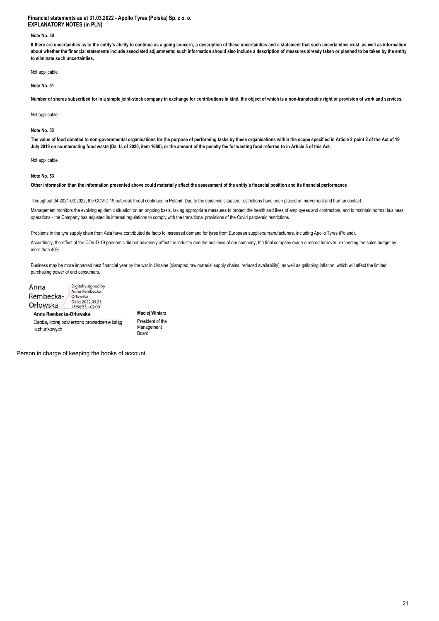#### **Note No. 50**

**If there are uncertainties as to the entity's ability to continue as a going concern, a description of these uncertainties and a statement that such uncertainties exist, as well as information about whether the financial statements include associated adjustments; such information should also include a description of measures already taken or planned to be taken by the entity to eliminate such uncertainties.**

Not applicable.

#### **Note No. 51**

**Number of shares subscribed for in a simple joint-stock company in exchange for contributions in kind, the object of which is a non-transferable right or provision of work and services.**

#### Not applicable

#### **Note No. 52**

**The value of food donated to non-governmental organisations for the purpose of performing tasks by these organisations within the scope specified in Article 2 point 2 of the Act of 19 July 2019 on counteracting food waste (Dz. U. of 2020, item 1680), or the amount of the penalty fee for wasting food referred to in Article 5 of this Act.**

Not applicable.

#### **Note No. 53**

#### **Other information than the information presented above could materially affect the assessment of the entity's financial position and its financial performance**

Throughout 04.2021-03.2022, the COVID 19 outbreak threat continued in Poland. Due to the epidemic situation, restrictions have been placed on movement and human contact. Management monitors the evolving epidemic situation on an ongoing basis, taking appropriate measures to protect the health and lives of employees and contractors, and to maintain normal business operations - the Company has adjusted its internal regulations to comply with the transitional provisions of the Covid pandemic restrictions.

Problems in the tyre supply chain from Asia have contributed de facto to increased demand for tyres from European suppliers/manufacturers, including Apollo Tyres (Poland). Accordingly, the effect of the COVID-19 pandemic did not adversely affect the industry and the business of our company, the final company made a record turnover, exceeding the sales budget by more than 40%.

Business may be more impacted next financial year by the war in Ukraine (disrupted raw material supply chains, reduced availability), as well as galloping inflation, which will affect the limited purchasing power of end consumers.

| Anna       |
|------------|
| Remp<br>۱۴ |

| Anna      | Digitally signed by<br>Anna Rembecka- |
|-----------|---------------------------------------|
| Rembecka- | Orłowska                              |
| Orłowska  | Date: 2022.05.23<br>15:50:33 +02'00'  |

| Anna Rembecka-Orłowska                     |  |
|--------------------------------------------|--|
| Osoba, której powierzono prowadzenie ksiąg |  |
| rachunkowych                               |  |

**Maciej Winiarz** President of the Management Board

Person in charge of keeping the books of account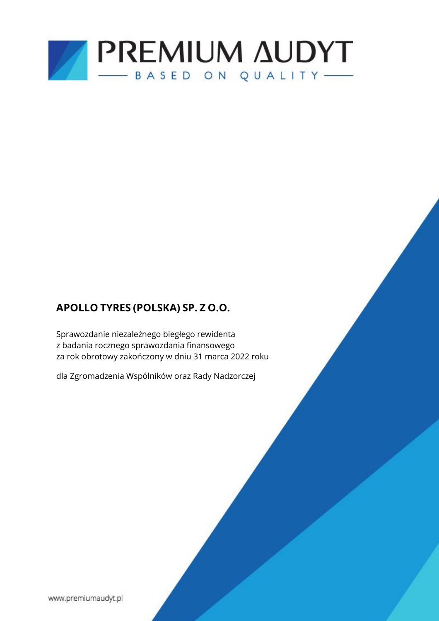

# **APOLLO TYRES (POLSKA) SP. Z O.O.**

Sprawozdanie niezależnego biegłego rewidenta z badania rocznego sprawozdania finansowego za rok obrotowy zakończony w dniu 31 marca 2022 roku

dla Zgromadzenia Wspólników oraz Rady Nadzorczej

www.premiumaudyt.pl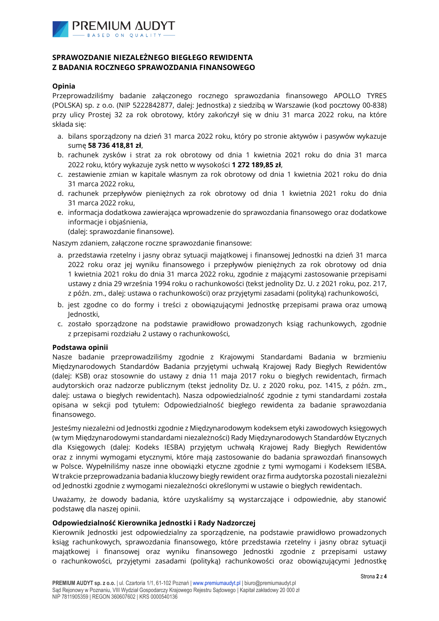

# **SPRAWOZDANIE NIEZALEŻNEGO BIEGŁEGO REWIDENTA Z BADANIA ROCZNEGO SPRAWOZDANIA FINANSOWEGO**

# **Opinia**

Przeprowadziliśmy badanie załączonego rocznego sprawozdania finansowego APOLLO TYRES (POLSKA) sp. z o.o. (NIP 5222842877, dalej: Jednostka) z siedzibą w Warszawie (kod pocztowy 00-838) przy ulicy Prostej 32 za rok obrotowy, który zakończył się w dniu 31 marca 2022 roku, na które składa się:

- a. bilans sporządzony na dzień 31 marca 2022 roku, który po stronie aktywów i pasywów wykazuje sumę **58 736 418,81 zł**,
- b. rachunek zysków i strat za rok obrotowy od dnia 1 kwietnia 2021 roku do dnia 31 marca 2022 roku, który wykazuje zysk netto w wysokości **1 272 189,85 zł**,
- c. zestawienie zmian w kapitale własnym za rok obrotowy od dnia 1 kwietnia 2021 roku do dnia 31 marca 2022 roku,
- d. rachunek przepływów pieniężnych za rok obrotowy od dnia 1 kwietnia 2021 roku do dnia 31 marca 2022 roku,
- e. informacja dodatkowa zawierająca wprowadzenie do sprawozdania finansowego oraz dodatkowe informacje i objaśnienia,
	- (dalej: sprawozdanie finansowe).

Naszym zdaniem, załączone roczne sprawozdanie finansowe:

- a. przedstawia rzetelny i jasny obraz sytuacji majątkowej i finansowej Jednostki na dzień 31 marca 2022 roku oraz jej wyniku finansowego i przepływów pieniężnych za rok obrotowy od dnia 1 kwietnia 2021 roku do dnia 31 marca 2022 roku, zgodnie z mającymi zastosowanie przepisami ustawy z dnia 29 września 1994 roku o rachunkowości (tekst jednolity Dz. U. z 2021 roku, poz. 217, z późn. zm., dalej: ustawa o rachunkowości) oraz przyjętymi zasadami (polityką) rachunkowości,
- b. jest zgodne co do formy i treści z obowiązującymi Jednostkę przepisami prawa oraz umową Jednostki,
- c. zostało sporządzone na podstawie prawidłowo prowadzonych ksiąg rachunkowych, zgodnie z przepisami rozdziału 2 ustawy o rachunkowości,

# **Podstawa opinii**

Nasze badanie przeprowadziliśmy zgodnie z Krajowymi Standardami Badania w brzmieniu Międzynarodowych Standardów Badania przyjętymi uchwałą Krajowej Rady Biegłych Rewidentów (dalej: KSB) oraz stosownie do ustawy z dnia 11 maja 2017 roku o biegłych rewidentach, firmach audytorskich oraz nadzorze publicznym (tekst jednolity Dz. U. z 2020 roku, poz. 1415, z późn. zm., dalej: ustawa o biegłych rewidentach). Nasza odpowiedzialność zgodnie z tymi standardami została opisana w sekcji pod tytułem: Odpowiedzialność biegłego rewidenta za badanie sprawozdania finansowego.

Jesteśmy niezależni od Jednostki zgodnie z Międzynarodowym kodeksem etyki zawodowych księgowych (w tym Międzynarodowymi standardami niezależności) Rady Międzynarodowych Standardów Etycznych dla Księgowych (dalej: Kodeks IESBA) przyjętym uchwałą Krajowej Rady Biegłych Rewidentów oraz z innymi wymogami etycznymi, które mają zastosowanie do badania sprawozdań finansowych w Polsce. Wypełniliśmy nasze inne obowiązki etyczne zgodnie z tymi wymogami i Kodeksem IESBA. W trakcie przeprowadzania badania kluczowy biegły rewident oraz firma audytorska pozostali niezależni od Jednostki zgodnie z wymogami niezależności określonymi w ustawie o biegłych rewidentach.

Uważamy, że dowody badania, które uzyskaliśmy są wystarczające i odpowiednie, aby stanowić podstawę dla naszej opinii.

# **Odpowiedzialność Kierownika Jednostki i Rady Nadzorczej**

Kierownik Jednostki jest odpowiedzialny za sporządzenie, na podstawie prawidłowo prowadzonych ksiąg rachunkowych, sprawozdania finansowego, które przedstawia rzetelny i jasny obraz sytuacji majątkowej i finansowej oraz wyniku finansowego Jednostki zgodnie z przepisami ustawy o rachunkowości, przyjętymi zasadami (polityką) rachunkowości oraz obowiązującymi Jednostkę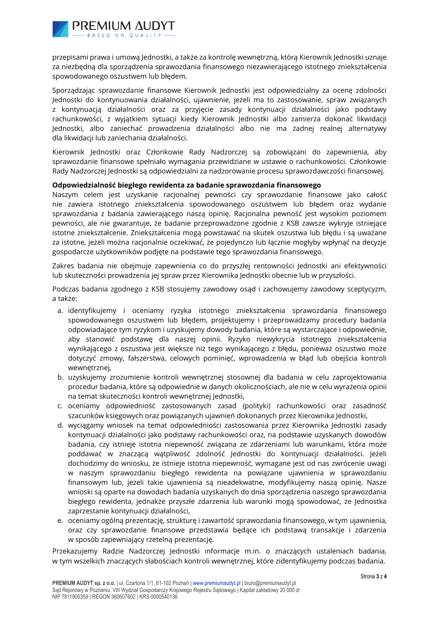

przepisami prawa i umową Jednostki, a także za kontrolę wewnętrzną, którą Kierownik Jednostki uznaje za niezbędną dla sporządzenia sprawozdania finansowego niezawierającego istotnego zniekształcenia spowodowanego oszustwem lub błędem.

Sporządzając sprawozdanie finansowe Kierownik Jednostki jest odpowiedzialny za ocenę zdolności Jednostki do kontynuowania działalności, ujawnienie, jeżeli ma to zastosowanie, spraw związanych z kontynuacją działalności oraz za przyjęcie zasady kontynuacji działalności jako podstawy rachunkowości, z wyjątkiem sytuacji kiedy Kierownik Jednostki albo zamierza dokonać likwidacji Jednostki, albo zaniechać prowadzenia działalności albo nie ma żadnej realnej alternatywy dla likwidacji lub zaniechania działalności.

Kierownik Jednostki oraz Członkowie Rady Nadzorczej są zobowiązani do zapewnienia, aby sprawozdanie finansowe spełniało wymagania przewidziane w ustawie o rachunkowości. Członkowie Rady Nadzorczej Jednostki są odpowiedzialni za nadzorowanie procesu sprawozdawczości finansowej.

# **Odpowiedzialność biegłego rewidenta za badanie sprawozdania finansowego**

Naszym celem jest uzyskanie racjonalnej pewności czy sprawozdanie finansowe jako całość nie zawiera istotnego zniekształcenia spowodowanego oszustwem lub błędem oraz wydanie sprawozdania z badania zawierającego naszą opinię. Racjonalna pewność jest wysokim poziomem pewności, ale nie gwarantuje, że badanie przeprowadzone zgodnie z KSB zawsze wykryje istniejące istotne zniekształcenie. Zniekształcenia mogą powstawać na skutek oszustwa lub błędu i są uważane za istotne, jeżeli można racjonalnie oczekiwać, że pojedynczo lub łącznie mogłyby wpłynąć na decyzje gospodarcze użytkowników podjęte na podstawie tego sprawozdania finansowego.

Zakres badania nie obejmuje zapewnienia co do przyszłej rentowności Jednostki ani efektywności lub skuteczności prowadzenia jej spraw przez Kierownika Jednostki obecnie lub w przyszłości.

Podczas badania zgodnego z KSB stosujemy zawodowy osąd i zachowujemy zawodowy sceptycyzm, a także:

- a. identyfikujemy i oceniamy ryzyka istotnego zniekształcenia sprawozdania finansowego spowodowanego oszustwem lub błędem, projektujemy i przeprowadzamy procedury badania odpowiadające tym ryzykom i uzyskujemy dowody badania, które są wystarczające i odpowiednie, aby stanowić podstawę dla naszej opinii. Ryzyko niewykrycia istotnego zniekształcenia wynikającego z oszustwa jest większe niż tego wynikającego z błędu, ponieważ oszustwo może dotyczyć zmowy, fałszerstwa, celowych pominięć, wprowadzenia w błąd lub obejścia kontroli wewnętrznej,
- b. uzyskujemy zrozumienie kontroli wewnętrznej stosownej dla badania w celu zaprojektowania procedur badania, które są odpowiednie w danych okolicznościach, ale nie w celu wyrażenia opinii na temat skuteczności kontroli wewnętrznej Jednostki,
- c. oceniamy odpowiedniość zastosowanych zasad (polityki) rachunkowości oraz zasadność szacunków księgowych oraz powiązanych ujawnień dokonanych przez Kierownika Jednostki,
- d. wyciągamy wniosek na temat odpowiedniości zastosowania przez Kierownika Jednostki zasady kontynuacji działalności jako podstawy rachunkowości oraz, na podstawie uzyskanych dowodów badania, czy istnieje istotna niepewność związana ze zdarzeniami lub warunkami, która może poddawać w znaczącą wątpliwość zdolność Jednostki do kontynuacji działalności. Jeżeli dochodzimy do wniosku, że istnieje istotna niepewność, wymagane jest od nas zwrócenie uwagi w naszym sprawozdaniu biegłego rewidenta na powiązane ujawnienia w sprawozdaniu finansowym lub, jeżeli takie ujawnienia są nieadekwatne, modyfikujemy naszą opinię. Nasze wnioski są oparte na dowodach badania uzyskanych do dnia sporządzenia naszego sprawozdania biegłego rewidenta, jednakże przyszłe zdarzenia lub warunki mogą spowodować, że Jednostka zaprzestanie kontynuacji działalności,
- e. oceniamy ogólną prezentację, strukturę i zawartość sprawozdania finansowego, w tym ujawnienia, oraz czy sprawozdanie finansowe przedstawia będące ich podstawą transakcje i zdarzenia w sposób zapewniający rzetelną prezentację.

Przekazujemy Radzie Nadzorczej Jednostki informacje m.in. o znaczących ustaleniach badania, w tym wszelkich znaczących słabościach kontroli wewnętrznej, które zidentyfikujemy podczas badania.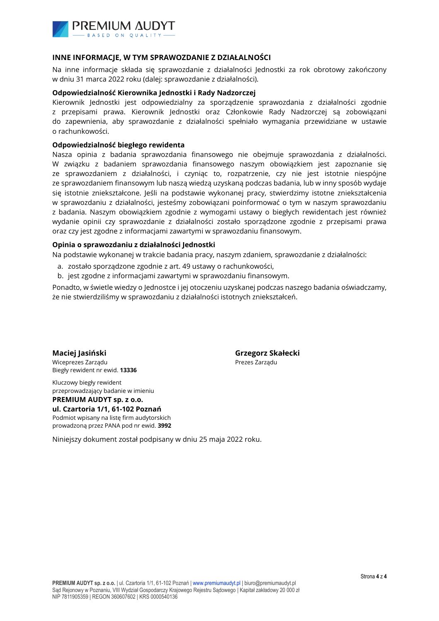

# **INNE INFORMACJE, W TYM SPRAWOZDANIE Z DZIAŁALNOŚCI**

Na inne informacje składa się sprawozdanie z działalności Jednostki za rok obrotowy zakończony w dniu 31 marca 2022 roku (dalej: sprawozdanie z działalności).

# **Odpowiedzialność Kierownika Jednostki i Rady Nadzorczej**

Kierownik Jednostki jest odpowiedzialny za sporządzenie sprawozdania z działalności zgodnie z przepisami prawa. Kierownik Jednostki oraz Członkowie Rady Nadzorczej są zobowiązani do zapewnienia, aby sprawozdanie z działalności spełniało wymagania przewidziane w ustawie o rachunkowości.

# **Odpowiedzialność biegłego rewidenta**

Nasza opinia z badania sprawozdania finansowego nie obejmuje sprawozdania z działalności. W związku z badaniem sprawozdania finansowego naszym obowiązkiem jest zapoznanie się ze sprawozdaniem z działalności, i czyniąc to, rozpatrzenie, czy nie jest istotnie niespójne ze sprawozdaniem finansowym lub naszą wiedzą uzyskaną podczas badania, lub w inny sposób wydaje się istotnie zniekształcone. Jeśli na podstawie wykonanej pracy, stwierdzimy istotne zniekształcenia w sprawozdaniu z działalności, jesteśmy zobowiązani poinformować o tym w naszym sprawozdaniu z badania. Naszym obowiązkiem zgodnie z wymogami ustawy o biegłych rewidentach jest również wydanie opinii czy sprawozdanie z działalności zostało sporządzone zgodnie z przepisami prawa oraz czy jest zgodne z informacjami zawartymi w sprawozdaniu finansowym.

# **Opinia o sprawozdaniu z działalności Jednostki**

Na podstawie wykonanej w trakcie badania pracy, naszym zdaniem, sprawozdanie z działalności:

- a. zostało sporządzone zgodnie z art. 49 ustawy o rachunkowości,
- b. jest zgodne z informacjami zawartymi w sprawozdaniu finansowym.

Ponadto, w świetle wiedzy o Jednostce i jej otoczeniu uzyskanej podczas naszego badania oświadczamy, że nie stwierdziliśmy w sprawozdaniu z działalności istotnych zniekształceń.

**Maciej Jasiński Grzegorz Skałecki** Wiceprezes Zarządu **Archaeologie State Australia** Prezes Zarządu Biegły rewident nr ewid. **13336**

Kluczowy biegły rewident przeprowadzający badanie w imieniu

# **PREMIUM AUDYT sp. z o.o.**

**ul. Czartoria 1/1, 61-102 Poznań** Podmiot wpisany na listę firm audytorskich prowadzoną przez PANA pod nr ewid. **3992**

Niniejszy dokument został podpisany w dniu 25 maja 2022 roku.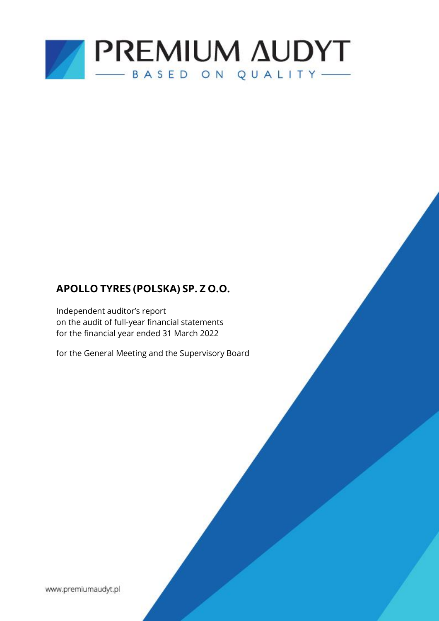

# **APOLLO TYRES (POLSKA) SP. Z O.O.**

Independent auditor's report on the audit of full-year financial statements for the financial year ended 31 March 2022

for the General Meeting and the Supervisory Board

www.premiumaudyt.pl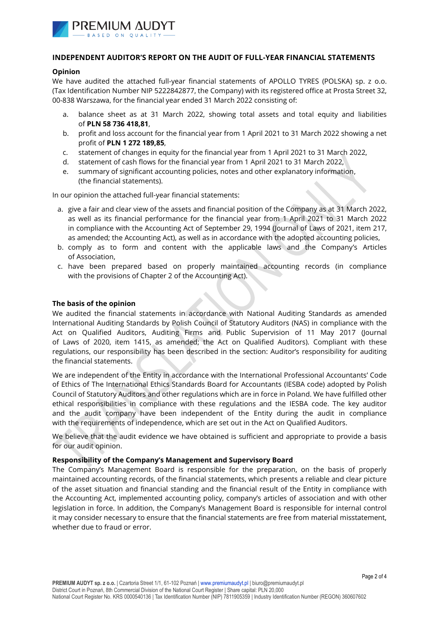

# **INDEPENDENT AUDITOR'S REPORT ON THE AUDIT OF FULL-YEAR FINANCIAL STATEMENTS**

# **Opinion**

We have audited the attached full-year financial statements of APOLLO TYRES (POLSKA) sp. z o.o. (Tax Identification Number NIP 5222842877, the Company) with its registered office at Prosta Street 32, 00-838 Warszawa, for the financial year ended 31 March 2022 consisting of:

- a. balance sheet as at 31 March 2022, showing total assets and total equity and liabilities of **PLN 58 736 418,81**,
- b. profit and loss account for the financial year from 1 April 2021 to 31 March 2022 showing a net profit of **PLN 1 272 189,85**,
- c. statement of changes in equity for the financial year from 1 April 2021 to 31 March 2022,
- d. statement of cash flows for the financial year from 1 April 2021 to 31 March 2022,
- e. summary of significant accounting policies, notes and other explanatory information, (the financial statements).

In our opinion the attached full-year financial statements:

- a. give a fair and clear view of the assets and financial position of the Company as at 31 March 2022, as well as its financial performance for the financial year from 1 April 2021 to 31 March 2022 in compliance with the Accounting Act of September 29, 1994 (Journal of Laws of 2021, item 217, as amended; the Accounting Act), as well as in accordance with the adopted accounting policies,
- b. comply as to form and content with the applicable laws and the Company's Articles of Association,
- c. have been prepared based on properly maintained accounting records (in compliance with the provisions of Chapter 2 of the Accounting Act).

# **The basis of the opinion**

We audited the financial statements in accordance with National Auditing Standards as amended International Auditing Standards by Polish Council of Statutory Auditors (NAS) in compliance with the Act on Qualified Auditors, Auditing Firms and Public Supervision of 11 May 2017 (Journal of Laws of 2020, item 1415, as amended; the Act on Qualified Auditors). Compliant with these regulations, our responsibility has been described in the section: Auditor's responsibility for auditing the financial statements.

We are independent of the Entity in accordance with the International Professional Accountants' Code of Ethics of The International Ethics Standards Board for Accountants (IESBA code) adopted by Polish Council of Statutory Auditors and other regulations which are in force in Poland. We have fulfilled other ethical responsibilities in compliance with these regulations and the IESBA code. The key auditor and the audit company have been independent of the Entity during the audit in compliance with the requirements of independence, which are set out in the Act on Qualified Auditors.

We believe that the audit evidence we have obtained is sufficient and appropriate to provide a basis for our audit opinion.

# **Responsibility of the Company's Management and Supervisory Board**

The Company's Management Board is responsible for the preparation, on the basis of properly maintained accounting records, of the financial statements, which presents a reliable and clear picture of the asset situation and financial standing and the financial result of the Entity in compliance with the Accounting Act, implemented accounting policy, company's articles of association and with other legislation in force. In addition, the Company's Management Board is responsible for internal control it may consider necessary to ensure that the financial statements are free from material misstatement, whether due to fraud or error.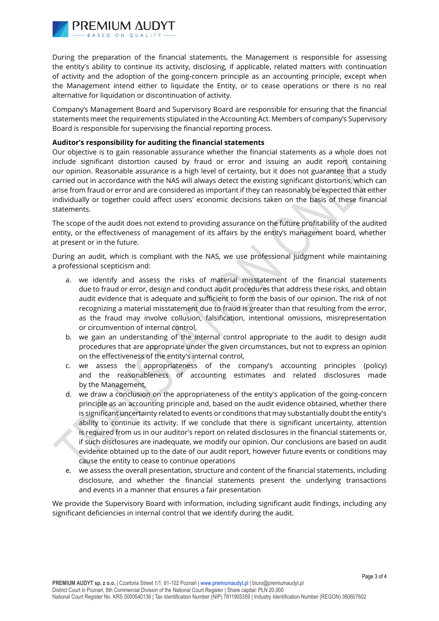

During the preparation of the financial statements, the Management is responsible for assessing the entity's ability to continue its activity, disclosing, if applicable, related matters with continuation of activity and the adoption of the going-concern principle as an accounting principle, except when the Management intend either to liquidate the Entity, or to cease operations or there is no real alternative for liquidation or discontinuation of activity.

Company's Management Board and Supervisory Board are responsible for ensuring that the financial statements meet the requirements stipulated in the Accounting Act. Members of company's Supervisory Board is responsible for supervising the financial reporting process.

# **Auditor's responsibility for auditing the financial statements**

Our objective is to gain reasonable assurance whether the financial statements as a whole does not include significant distortion caused by fraud or error and issuing an audit report containing our opinion. Reasonable assurance is a high level of certainty, but it does not guarantee that a study carried out in accordance with the NAS will always detect the existing significant distortions, which can arise from fraud or error and are considered as important if they can reasonably be expected that either individually or together could affect users' economic decisions taken on the basis of these financial statements.

The scope of the audit does not extend to providing assurance on the future profitability of the audited entity, or the effectiveness of management of its affairs by the entity's management board, whether at present or in the future.

During an audit, which is compliant with the NAS, we use professional judgment while maintaining a professional scepticism and:

- a. we identify and assess the risks of material misstatement of the financial statements due to fraud or error, design and conduct audit procedures that address these risks, and obtain audit evidence that is adequate and sufficient to form the basis of our opinion. The risk of not recognizing a material misstatement due to fraud is greater than that resulting from the error, as the fraud may involve collusion, falsification, intentional omissions, misrepresentation or circumvention of internal control,
- b. we gain an understanding of the internal control appropriate to the audit to design audit procedures that are appropriate under the given circumstances, but not to express an opinion on the effectiveness of the entity's internal control,
- c. we assess the appropriateness of the company's accounting principles (policy) and the reasonableness of accounting estimates and related disclosures made by the Management,
- d. we draw a conclusion on the appropriateness of the entity's application of the going-concern principle as an accounting principle and, based on the audit evidence obtained, whether there is significant uncertainty related to events or conditions that may substantially doubt the entity's ability to continue its activity. If we conclude that there is significant uncertainty, attention is required from us in our auditor's report on related disclosures in the financial statements or, if such disclosures are inadequate, we modify our opinion. Our conclusions are based on audit evidence obtained up to the date of our audit report, however future events or conditions may cause the entity to cease to continue operations
- e. we assess the overall presentation, structure and content of the financial statements, including disclosure, and whether the financial statements present the underlying transactions and events in a manner that ensures a fair presentation

We provide the Supervisory Board with information, including significant audit findings, including any significant deficiencies in internal control that we identify during the audit.